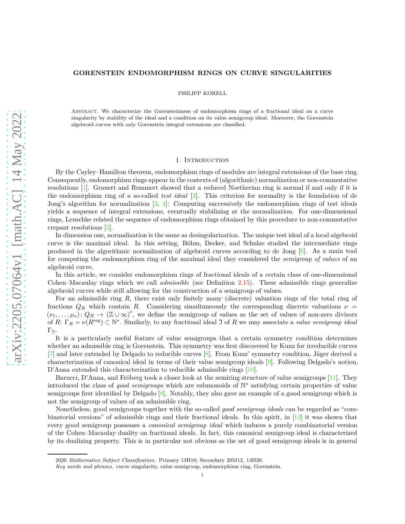## **GORENSTEIN ENDOMORPHISM RINGS ON CURVE SINGULARITIES**

PHILIPP KORELL

Abstract. We characterize the Gorensteinness of endomorphism rings of a fractional ideal on a curve singularity by stability of the ideal and a condition on its value semigroup ideal. Moreover, the Gorenstein algebroid curves with only Gorenstein integral extensions are classified.

### 1. INTRODUCTION

By the Cayley–Hamilton theorem, endomorphism rings of modules are integral extensions of the base ring. Consequently, endomorphism rings appear in the contexts of (algorithmic) normalization or non-commutative resolutions [\[1\]](#page-19-0). Grauert and Remmert showed that a reduced Noetherian ring is normal if and only if it is the endomorphism ring of a so-called *test ideal* [\[2\]](#page-19-1). This criterion for normality is the foundation of de Jong's algorithm for normalization  $[3, 4]$  $[3, 4]$ : Computing successively the endomorphism rings of test ideals yields a sequence of integral extensions, eventually stabilizing at the normalization. For one-dimensional rings, Leuschke related the sequence of endomorphism rings obtained by this procedure to non-commutative crepant resolutions [\[5\]](#page-19-4).

In dimension one, normalization is the same as desingularization. The unique test ideal of a local algebroid curve is the maximal ideal. In this setting, Böhm, Decker, and Schulze studied the intermediate rings produced in the algorithmic normalization of algebroid curves according to de Jong [\[6\]](#page-19-5). As a main tool for computing the endomorphism ring of the maximal ideal they considered the *semigroup of values* of an algebroid curve.

In this article, we consider endomorphism rings of fractional ideals of a certain class of one-dimensional Cohen–Macaulay rings which we call *admissible* (see Definition [2.15\)](#page-3-0). These admissible rings generalize algebroid curves while still allowing for the construction of a semigroup of values.

For an admissible ring *R*, there exist only finitely many (discrete) valuation rings of the total ring of fractions  $Q_R$  which contain *R*. Considering simultaneously the corresponding discrete valuations  $\nu$  =  $(\nu_1,\ldots,\mu_s): Q_R \to (\mathbb{Z} \cup \infty)^s$ , we define the semigroup of values as the set of values of non-zero divisors of *R*:  $\Gamma_R = \nu(R^{\text{reg}}) \subset \mathbb{N}^s$ . Similarly, to any fractional ideal 3 of *R* we may associate a *value semigroup ideal*  $Γ_3$ .

It is a particularly useful feature of value semigroups that a certain symmetry condition determines whether an admissible ring is Gorenstein. This symmetry was first discovered by Kunz for irreducible curves [\[7\]](#page-19-6) and later extended by Delgado to reducible curves [\[8\]](#page-19-7). From Kunz' symmetry condition, Jäger derived a characterization of canonical ideal in terms of their value semigroup ideals [\[9\]](#page-19-8). Following Delgado's notion, D'Anna extended this characterization to reducible admissible rings [\[10\]](#page-19-9).

Barucci, D'Anna, and Fröberg took a closer look at the semiring structure of value semigroups [\[11\]](#page-19-10). They introduced the class of *good semigroups* which are submonoids of N *s* satisfying certain properties of value semigroups first identified by Delgado [\[8\]](#page-19-7). Notably, they also gave an example of a good semigroup which is not the semigroup of values of an admissible ring.

Nonetheless, good semigroups together with the so-called *good semigroup ideals* can be regarded as "combinatorial versions" of admissible rings and their fractional ideals. In this spirit, in [\[12\]](#page-19-11) it was shown that every good semigroup possesses a *canonical semigroup ideal* which induces a purely combinatorial version of the Cohen–Macaulay duality on fractional ideals. In fact, this canonical semigroup ideal is characterized by its dualizing property. This is in particular not obvious as the set of good semigroup ideals is in general

<sup>2020</sup> *Mathematics Subject Classification.* Primary 13H10; Secondary 20M12, 14H20.

*Key words and phrases.* curve singularity, value semigroup, endomorphism ring, Gorenstein.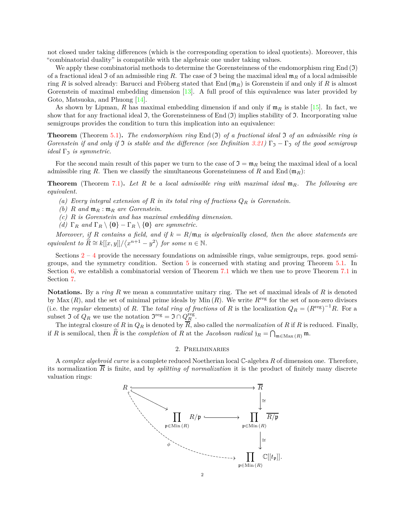not closed under taking differences (which is the corresponding operation to ideal quotients). Moreover, this "combinatorial duality" is compatible with the algebraic one under taking values.

We apply these combinatorial methods to determine the Gorensteinness of the endomorphism ring  $End(\mathcal{I})$ of a fractional ideal  $\Im$  of an admissible ring R. The case of  $\Im$  being the maximal ideal  $\mathfrak{m}_R$  of a local admissible ring *R* is solved already: Barucci and Fröberg stated that End (m*R*) is Gorenstein if and only if *R* is almost Gorenstein of maximal embedding dimension [\[13\]](#page-19-12). A full proof of this equivalence was later provided by Goto, Matsuoka, and Phuong [\[14\]](#page-19-13).

As shown by Lipman, *R* has maximal embedding dimension if and only if  $m_R$  is stable [\[15\]](#page-19-14). In fact, we show that for any fractional ideal  $\mathfrak{I}$ , the Gorensteinness of End  $(\mathfrak{I})$  implies stability of  $\mathfrak{I}$ . Incorporating value semigroups provides the condition to turn this implication into an equivalence:

**Theorem** (Theorem [5.1\)](#page-13-0)**.** *The endomorphism ring* End (I) *of a fractional ideal* I *of an admissible ring is Gorenstein if and only if*  $\Im$  *is stable and the difference (see Definition*  $3.21$ )  $\Gamma_5 - \Gamma_5$  *of the good semigroup ideal*  $\Gamma_5$  *is symmetric.* 

For the second main result of this paper we turn to the case of  $\mathfrak{I} = \mathfrak{m}_R$  being the maximal ideal of a local admissible ring *R*. Then we classify the simultaneous Gorensteinness of *R* and End ( $m_R$ ):

**Theorem** (Theorem [7.1\)](#page-17-0)**.** *Let R be a local admissible ring with maximal ideal* m*R. The following are equivalent.*

- *(a) Every integral extension of R in its total ring of fractions Q<sup>R</sup> is Gorenstein.*
- *(b) R and* m*<sup>R</sup>* : m*<sup>R</sup> are Gorenstein.*
- *(c) R is Gorenstein and has maximal embedding dimension.*
- *(d)*  $\Gamma_R$  *and*  $\Gamma_R \setminus \{0\} \Gamma_R \setminus \{0\}$  *are symmetric.*

*Moreover, if R contains a field, and if*  $k = R/m_R$  *is algebraically closed, then the above statements are equivalent to*  $\widehat{R} \cong k[[x, y]]/\langle x^{n+1} - y^2 \rangle$  *for some*  $n \in \mathbb{N}$ *.* 

Sections  $2 - 4$  $2 - 4$  $2 - 4$  provide the necessary foundations on admissible rings, value semigroups, reps. good semigroups, and the symmetry condition. Section [5](#page-13-1) is concerned with stating and proving Theorem [5.1.](#page-13-0) In Section [6,](#page-15-0) we establish a combinatorial version of Theorem [7.1](#page-17-0) which we then use to prove Theorem [7.1](#page-17-0) in Section [7.](#page-17-1)

**Notations.** By a *ring R* we mean a commutative unitary ring. The set of maximal ideals of *R* is denoted by Max  $(R)$ , and the set of minimal prime ideals by Min  $(R)$ . We write  $R^{\text{reg}}$  for the set of non-zero divisors (i.e. the *regular* elements) of *R*. The *total ring of fractions* of *R* is the localization  $Q_R = (R^{\text{reg}})^{-1}R$ . For a subset  $\Im$  of  $Q_R$  we use the notation  $\Im^{\text{reg}} = \Im \cap Q_R^{\text{reg}}$ .

The integral closure of *R* in  $Q_R$  is denoted by  $\overline{R}$ , also called the *normalization* of *R* if *R* is reduced. Finally, if *R* is semilocal, then  $\widehat{R}$  is the *completion* of *R* at the *Jacobson radical*  $j_R = \bigcap_{\mathfrak{m} \in \text{Max}(R)} \mathfrak{m}$ .

# 2. Preliminaries

<span id="page-1-0"></span>A *complex algebroid curve* is a complete reduced Noetherian local C-algebra *R* of dimension one. Therefore, its normalization  $\overline{R}$  is finite, and by *splitting of normalization* it is the product of finitely many discrete valuation rings:

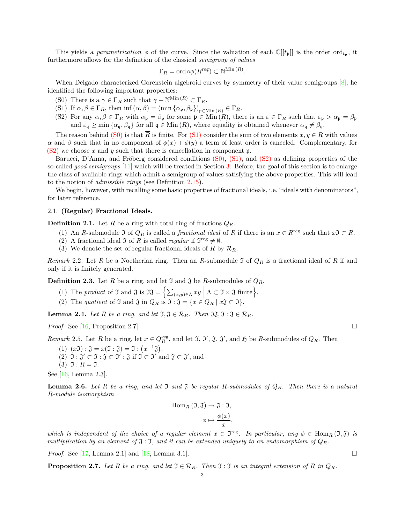This yields a *parametrization*  $\phi$  of the curve. Since the valuation of each  $\mathbb{C}[[t_{\mathfrak{p}}]]$  is the order ord<sub> $t_{\mathfrak{p}}$ </sub>, it furthermore allows for the definition of the classical *semigroup of values*

$$
\Gamma_R = \text{ord} \circ \phi(R^{\text{reg}}) \subset \mathbb{N}^{\text{Min}(R)}.
$$

<span id="page-2-0"></span>When Delgado characterized Gorenstein algebroid curves by symmetry of their value semigroups  $[8]$ , he identified the following important properties:

- <span id="page-2-1"></span>(S0) There is a  $\gamma \in \Gamma_R$  such that  $\gamma + \mathbb{N}^{\text{Min}(R)} \subset \Gamma_R$ .
- <span id="page-2-2"></span>(S1) If  $\alpha, \beta \in \Gamma_R$ , then inf  $(\alpha, \beta) = (\min{\{\alpha_{\mathfrak{p}}, \beta_{\mathfrak{p}}\}})_{\mathfrak{p} \in \text{Min}(R)} \in \Gamma_R$ .
- (S2) For any  $\alpha, \beta \in \Gamma_R$  with  $\alpha_p = \beta_p$  for some  $p \in \text{Min}(R)$ , there is an  $\varepsilon \in \Gamma_R$  such that  $\varepsilon_p > \alpha_p = \beta_p$ and  $\varepsilon_{\mathfrak{q}} \ge \min \{ \alpha_{\mathfrak{q}}, \beta_{\mathfrak{q}} \}$  for all  $\mathfrak{q} \in \text{Min}(R)$ , where equality is obtained whenever  $\alpha_{\mathfrak{q}} \ne \beta_{\mathfrak{q}}$ .

The reason behind [\(S0\)](#page-2-0) is that  $\overline{R}$  is finite. For [\(S1\)](#page-2-1) consider the sum of two elements  $x, y \in R$  with values *α* and *β* such that in no component of  $φ(x) + φ(y)$  a term of least order is canceled. Complementary, for [\(S2\)](#page-2-2) we choose *x* and *y* such that there is cancellation in component p.

Barucci, D'Anna, and Fröberg considered conditions [\(S0\),](#page-2-0) [\(S1\),](#page-2-1) and [\(S2\)](#page-2-2) as defining properties of the so-called *good semigroups* [\[11\]](#page-19-10) which will be treated in Section [3.](#page-5-0) Before, the goal of this section is to enlarge the class of available rings which admit a semigroup of values satisfying the above properties. This will lead to the notion of *admissible rings* (see Definition [2.15\)](#page-3-0).

We begin, however, with recalling some basic properties of fractional ideals, i.e. "ideals with denominators", for later reference.

# 2.1. **(Regular) Fractional Ideals.**

**Definition 2.1.** Let *R* be a ring with total ring of fractions  $Q_R$ .

- (1) An *R*-submodule  $\mathfrak{I}$  of  $Q_R$  is called a *fractional ideal* of *R* if there is an  $x \in R^{\text{reg}}$  such that  $x \mathfrak{I} \subset R$ .
- (2) A fractional ideal  $\Im$  of R is called *regular* if  $\Im^{reg} \neq \emptyset$ .
- (3) We denote the set of regular fractional ideals of *R* by  $\mathcal{R}_R$ .

<span id="page-2-9"></span>*Remark* 2.2*.* Let *R* be a Noetherian ring. Then an *R*-submodule I of *Q<sup>R</sup>* is a fractional ideal of *R* if and only if it is finitely generated.

<span id="page-2-8"></span>**Definition 2.3.** Let *R* be a ring, and let  $\mathfrak{I}$  and  $\mathfrak{J}$  be *R*-submodules of  $Q_R$ .

- (1) The *product* of  $\mathfrak{I}$  and  $\mathfrak{J}$  is  $\mathfrak{I}\mathfrak{J} = \Big\{ \sum_{(x,y)\in \Lambda} xy \mid \Lambda \subset \mathfrak{I} \times \mathfrak{J}$  finite.
- (2) The *quotient* of  $\Im$  and  $\Im$  in  $Q_R$  is  $\Im$  :  $\Im$  = { $x \in Q_R \mid x \Im \subset \Im$ }.

<span id="page-2-3"></span>**Lemma 2.4.** *Let*  $R$  *be a ring, and let*  $\mathfrak{I}, \mathfrak{J} \in \mathcal{R}_R$ *. Then*  $\mathfrak{I}\mathfrak{J}, \mathfrak{I} : \mathfrak{J} \in \mathcal{R}_R$ *.* 

*Proof.* See [\[16,](#page-19-15) Proposition 2.7]. □

<span id="page-2-7"></span><span id="page-2-6"></span>*Remark* 2.5. Let *R* be a ring, let  $x \in Q_R^{\text{reg}}$ , and let  $\mathfrak{I}, \mathfrak{I}', \mathfrak{J}, \mathfrak{J}'$ , and  $\mathfrak{H}$  be *R*-submodules of  $Q_R$ . Then

- <span id="page-2-11"></span>(1)  $(x \mathfrak{I}) : \mathfrak{J} = x(\mathfrak{I} : \mathfrak{J}) = \mathfrak{I} : (x^{-1}\mathfrak{J}),$
- <span id="page-2-10"></span>(2)  $\mathfrak{I}: \mathfrak{J}' \subset \mathfrak{I}: \mathfrak{J} \subset \mathfrak{I}' : \mathfrak{J}$  if  $\mathfrak{I} \subset \mathfrak{I}'$  and  $\mathfrak{J} \subset \mathfrak{J}'$ , and
- $(3)$   $\mathfrak{I}: R = \mathfrak{I}.$

See [\[16,](#page-19-15) Lemma 2.3].

<span id="page-2-4"></span>**Lemma 2.6.** Let R be a ring, and let I and I be regular R-submodules of  $Q_R$ . Then there is a natural *R-module isomorphism*

Hom<sub>R</sub> 
$$
(\mathfrak{I}, \mathfrak{J}) \to \mathfrak{J} : \mathfrak{I},
$$
  
 $\phi \mapsto \frac{\phi(x)}{x},$ 

*which is independent of the choice of a regular element*  $x \in \mathfrak{I}^{\text{reg}}$ . In particular, any  $\phi \in \text{Hom}_R(\mathfrak{I}, \mathfrak{J})$  is *multiplication by an element of*  $\mathfrak{J}$  :  $\mathfrak{I}$ *, and it can be extended uniquely to an endomorphism of*  $Q_R$ *.* 

*Proof.* See [\[17,](#page-19-16) Lemma 2.1] and [\[18,](#page-20-0) Lemma 3.1].

<span id="page-2-5"></span>**Proposition 2.7.** *Let*  $R$  *be a ring, and let*  $\Im \in \mathcal{R}_R$ *. Then*  $\Im : \Im$  *is an integral extension of*  $R$  *in*  $Q_R$ *.*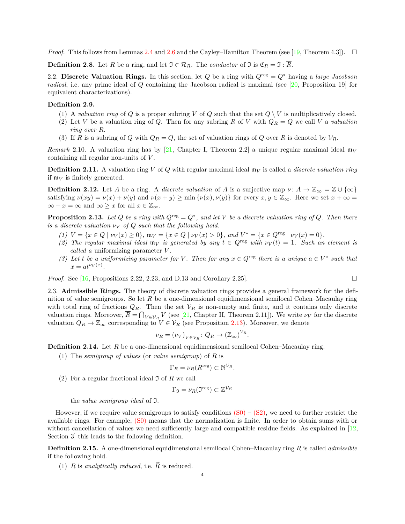*Proof.* This follows from Lemmas [2.4](#page-2-3) and [2.6](#page-2-4) and the Cayley–Hamilton Theorem (see [\[19,](#page-20-1) Theorem 4.3]).  $\Box$ 

**Definition 2.8.** Let *R* be a ring, and let  $\mathfrak{I} \in \mathcal{R}_R$ . The *conductor* of  $\mathfrak{I}$  is  $\mathfrak{C}_R = \mathfrak{I} : \overline{R}$ .

2.2. **Discrete Valuation Rings.** In this section, let *Q* be a ring with *Q*reg = *Q*<sup>∗</sup> having a *large Jacobson radical*, i.e. any prime ideal of *Q* containing the Jacobson radical is maximal (see [\[20,](#page-20-2) Proposition 19] for equivalent characterizations).

# **Definition 2.9.**

- (1) A *valuation ring* of *Q* is a proper subring *V* of *Q* such that the set  $Q \setminus V$  is multiplicatively closed.
- (2) Let *V* be a valuation ring of *Q*. Then for any subring *R* of *V* with  $Q_R = Q$  we call *V* a *valuation ring over R*.
- (3) If *R* is a subring of *Q* with  $Q_R = Q$ , the set of valuation rings of *Q* over *R* is denoted by  $V_R$ .

*Remark* 2.10. A valuation ring has by [\[21,](#page-20-3) Chapter I, Theorem 2.2] a unique regular maximal ideal  $m_V$ containing all regular non-units of *V* .

**Definition 2.11.** A valuation ring *V* of *Q* with regular maximal ideal  $m_V$  is called a *discrete valuation ring* if  $m_V$  is finitely generated.

**Definition 2.12.** Let *A* be a ring. A *discrete valuation* of *A* is a surjective map  $\nu: A \to \mathbb{Z}_{\infty} = \mathbb{Z} \cup {\infty}$ satisfying  $\nu(xy) = \nu(x) + \nu(y)$  and  $\nu(x + y) \ge \min{\{\nu(x), \nu(y)\}}$  for every  $x, y \in \mathbb{Z}_{\infty}$ . Here we set  $x + \infty =$  $\infty + x = \infty$  and  $\infty \geq x$  for all  $x \in \mathbb{Z}_{\infty}$ .

<span id="page-3-4"></span><span id="page-3-1"></span>**Proposition 2.13.** Let  $Q$  be a ring with  $Q^{\text{reg}} = Q^*$ , and let  $V$  be a discrete valuation ring of  $Q$ . Then there *is a discrete valuation*  $\nu_V$  *of Q such that the following hold.* 

- <span id="page-3-3"></span>(1)  $V = \{x \in Q \mid \nu_V(x) \ge 0\}$ ,  $\mathfrak{m}_V = \{x \in Q \mid \nu_V(x) > 0\}$ , and  $V^* = \{x \in Q^{\text{reg}} \mid \nu_V(x) = 0\}$ .
- (2) The regular maximal ideal  $m_V$  is generated by any  $t \in Q^{\text{reg}}$  with  $\nu_V(t) = 1$ . Such an element is *called a* uniformizing parameter *V .*
- <span id="page-3-2"></span>*(3) Let t be a uniformizing parameter for V*. Then for any  $x \in Q^{\text{reg}}$  there is a unique  $a \in V^*$  such that  $x = at^{\nu_V(x)}$ .

*Proof.* See [\[16,](#page-19-15) Propositions 2.22, 2.23, and D.13 and Corollary 2.25].

2.3. **Admissible Rings.** The theory of discrete valuation rings provides a general framework for the definition of value semigroups. So let *R* be a one-dimensional equidimensional semilocal Cohen–Macaulay ring with total ring of fractions  $Q_R$ . Then the set  $V_R$  is non-empty and finite, and it contains only discrete valuation rings. Moreover,  $\overline{R} = \bigcap_{V \in \mathcal{V}_R} V$  (see [\[21,](#page-20-3) Chapter II, Theorem 2.11]). We write  $\nu_V$  for the discrete valuation  $Q_R \to \mathbb{Z}_{\infty}$  corresponding to  $V \in \mathcal{V}_R$  (see Proposition [2.13\)](#page-3-1). Moreover, we denote

$$
\nu_R = (\nu_V)_{V \in \mathcal{V}_R}: Q_R \to (\mathbb{Z}_{\infty})^{\mathcal{V}_R}
$$

*.*

**Definition 2.14.** Let R be a one-dimensional equidimensional semilocal Cohen–Macaulay ring.

(1) The *semigroup of values* (or *value semigroup*) of *R* is

$$
\Gamma_R = \nu_R(R^{\text{reg}}) \subset \mathbb{N}^{\mathcal{V}_R}.
$$

(2) For a regular fractional ideal I of *R* we call

$$
\Gamma_{\mathfrak I}=\nu_R(\mathfrak I^\mathrm{reg})\subset \mathbb Z^{\mathcal V_R}
$$

the *value semigroup ideal* of I.

However, if we require value semigroups to satisfy conditions  $(S0) - (S2)$  $(S0) - (S2)$ , we need to further restrict the available rings. For example, [\(S0\)](#page-2-0) means that the normalization is finite. In order to obtain sums with or without cancellation of values we need sufficiently large and compatible residue fields. As explained in  $[12,$ Section 3] this leads to the following definition.

<span id="page-3-0"></span>**Definition 2.15.** A one-dimensional equidimensional semilocal Cohen–Macaulay ring *R* is called *admissible* if the following hold.

(1)  $R$  is *analytically reduced*, i.e.  $\hat{R}$  is reduced.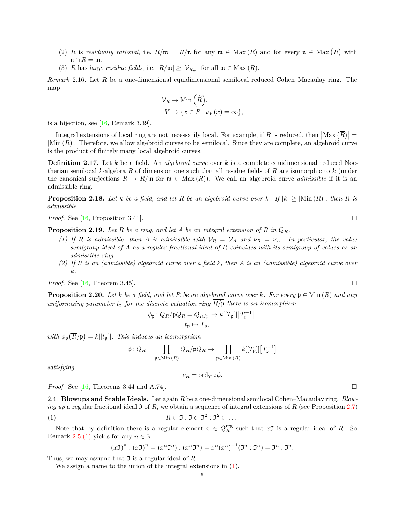- (2) *R* is *residually rational*, i.e.  $R/\mathfrak{m} = \overline{R}/\mathfrak{n}$  for any  $\mathfrak{m} \in \text{Max}(R)$  and for every  $\mathfrak{n} \in \text{Max}(\overline{R})$  with  $\mathfrak{n} \cap R = \mathfrak{m}$ .
- (3) *R* has *large residue fields*, i.e.  $|R/\mathfrak{m}| \geq |\mathcal{V}_{R_{\mathfrak{m}}}|$  for all  $\mathfrak{m} \in \text{Max}(R)$ .

*Remark* 2.16*.* Let *R* be a one-dimensional equidimensional semilocal reduced Cohen–Macaulay ring. The map

$$
\mathcal{V}_R \to \text{Min}\left(\widehat{R}\right),
$$
  

$$
V \mapsto \{x \in R \mid \nu_V(x) = \infty\},\
$$

is a bijection, see [\[16,](#page-19-15) Remark 3.39].

Integral extensions of local ring are not necessarily local. For example, if R is reduced, then  $|\text{Max}(\overline{R})|$  = |Min (*R*)|. Therefore, we allow algebroid curves to be semilocal. Since they are complete, an algebroid curve is the product of finitely many local algebroid curves.

**Definition 2.17.** Let *k* be a field. An *algebroid curve* over *k* is a complete equidimensional reduced Noetherian semilocal *k*-algebra *R* of dimension one such that all residue fields of *R* are isomorphic to *k* (under the canonical surjections  $R \to R/\mathfrak{m}$  for  $\mathfrak{m} \in \text{Max}(R)$ . We call an algebroid curve *admissible* if it is an admissible ring.

<span id="page-4-1"></span>**Proposition 2.18.** Let *k* be a field, and let *R* be an algebroid curve over *k*. If  $|k| \ge |\text{Min}(R)|$ , then *R* is *admissible.*

*Proof.* See [\[16,](#page-19-15) Proposition 3.41]. □

<span id="page-4-3"></span><span id="page-4-2"></span>**Proposition 2.19.** *Let R be a ring, and let A be an integral extension of R in QR.*

- *(1)* If *R is admissible, then A is admissible with*  $V_R = V_A$  *and*  $v_R = v_A$ *. In particular, the value semigroup ideal of A as a regular fractional ideal of R coincides with its semigroup of values as an admissible ring.*
- *(2) If R is an (admissible) algebroid curve over a field k, then A is an (admissible) algebroid curve over k.*

*Proof.* See [\[16,](#page-19-15) Theorem 3.45].

<span id="page-4-4"></span>**Proposition 2.20.** Let  $k$  be a field, and let  $R$  be an algebroid curve over  $k$ . For every  $\mathfrak{p} \in \text{Min}(R)$  and any *uniformizing parameter*  $t_p$  *for the discrete valuation ring*  $\overline{R/p}$  *there is an isomorphism* 

$$
\phi_{\mathfrak{p}} \colon Q_R / \mathfrak{p} Q_R = Q_{R/\mathfrak{p}} \to k[[T_{\mathfrak{p}}]][T_{\mathfrak{p}}^{-1}],
$$
  

$$
t_{\mathfrak{p}} \mapsto T_{\mathfrak{p}},
$$

with  $\phi_{\mathfrak{p}}(\overline{R}/\mathfrak{p}) = k[[t_{\mathfrak{p}}]]$ . This induces an isomorphism

$$
\phi\colon Q_R=\prod_{\mathfrak{p}\in\mathrm{Min}\,(R)}Q_R/\mathfrak{p} Q_R\to \prod_{\mathfrak{p}\in\mathrm{Min}\,(R)}k[[T_{\mathfrak{p}}]][T_{\mathfrak{p}}^{-1}]
$$

*satisfying*

<span id="page-4-0"></span>
$$
\nu_R = \text{ord}_T \circ \phi.
$$

*Proof.* See [\[16,](#page-19-15) Theorems 3.44 and A.74].

2.4. **Blowups and Stable Ideals.** Let again *R* be a one-dimensional semilocal Cohen–Macaulay ring. *Blowing up* a regular fractional ideal J of R, we obtain a sequence of integral extensions of R (see Proposition [2.7\)](#page-2-5) (1)  $R \subset \mathfrak{I} : \mathfrak{I} \subset \mathfrak{I}^2 : \mathfrak{I}^2 \subset \dots$ 

Note that by definition there is a regular element  $x \in Q_R^{\text{reg}}$  such that  $x\mathfrak{I}$  is a regular ideal of *R*. So Remark [2.5](#page-2-6)[.\(1\)](#page-2-7) yields for any  $n \in \mathbb{N}$ 

$$
(x\mathfrak{I})^n : (x\mathfrak{I})^n = (x^n\mathfrak{I}^n) : (x^n\mathfrak{I}^n) = x^n(x^n)^{-1}(\mathfrak{I}^n : \mathfrak{I}^n) = \mathfrak{I}^n : \mathfrak{I}^n.
$$

Thus, we may assume that  $\mathfrak I$  is a regular ideal of R.

We assign a name to the union of the integral extensions in [\(1\)](#page-4-0).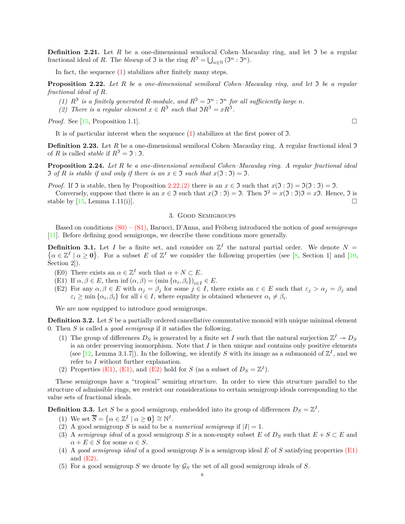**Definition 2.21.** Let  $R$  be a one-dimensional semilocal Cohen–Macaulay ring, and let  $\Im$  be a regular fractional ideal of *R*. The *blowup* of  $\Im$  is the ring  $R^{\Im} = \bigcup_{n \in \mathbb{N}} (\Im^n : \Im^n)$ .

In fact, the sequence [\(1\)](#page-4-0) stabilizes after finitely many steps.

<span id="page-5-1"></span>**Proposition 2.22.** *Let R be a one-dimensional semilocal Cohen–Macaulay ring, and let* I *be a regular fractional ideal of R.*

- <span id="page-5-2"></span>(1)  $R^3$  is a finitely generated R-module, and  $R^3 = \mathfrak{I}^n : \mathfrak{I}^n$  for all sufficiently large *n*.
- (2) There is a regular element  $x \in R^3$  such that  $\Im R^3 = xR^3$ .

*Proof.* See [\[15,](#page-19-14) Proposition 1.1].

It is of particular interest when the sequence [\(1\)](#page-4-0) stabilizes at the first power of I.

**Definition 2.23.** Let *R* be a one-dimensional semilocal Cohen–Macaulay ring. A regular fractional ideal J of *R* is called *stable* if  $R^3 = 3 : 3$ .

<span id="page-5-6"></span>**Proposition 2.24.** *Let R be a one-dimensional semilocal Cohen–Macaulay ring. A regular fractional ideal* I of *R* is stable if and only if there is an  $x \in \mathcal{I}$  such that  $x(\mathcal{I} : \mathcal{I}) = \mathcal{I}$ .

*Proof.* If  $\Im$  is stable, then by Proposition [2.22](#page-5-1)[.\(2\)](#page-5-2) there is an  $x \in \Im$  such that  $x(\Im : \Im) = \Im(\Im : \Im) = \Im$ .

<span id="page-5-0"></span>Conversely, suppose that there is an  $x \in \mathfrak{I}$  such that  $x(\mathfrak{I} : \mathfrak{I}) = \mathfrak{I}$ . Then  $\mathfrak{I}^2 = x(\mathfrak{I} : \mathfrak{I})\mathfrak{I} = x\mathfrak{I}$ . Hence,  $\mathfrak{I}$  is stable by  $[15, \text{Lemma } 1.11(i)].$ 

### 3. Good Semigroups

Based on conditions [\(S0\)](#page-2-0) – [\(S1\),](#page-2-1) Barucci, D'Anna, and Fröberg introduced the notion of *good semigroups* [\[11\]](#page-19-10). Before defining good semigroups, we describe these conditions more generally.

**Definition 3.1.** Let *I* be a finite set, and consider on  $\mathbb{Z}^I$  the natural partial order. We denote  $N =$  $\{\alpha \in \mathbb{Z}^I \mid \alpha \geq 0\}$ . For a subset *E* of  $\mathbb{Z}^I$  we consider the following properties (see [\[8,](#page-19-7) Section 1] and [\[10,](#page-19-9) Section 2]).

- <span id="page-5-5"></span><span id="page-5-3"></span>(E0) There exists an  $\alpha \in \mathbb{Z}^I$  such that  $\alpha + N \subset E$ .
- <span id="page-5-4"></span>(E1) If  $\alpha, \beta \in E$ , then inf  $(\alpha, \beta) = (\min{\{\alpha_i, \beta_i\}})_{i \in I} \in E$ .
- (E2) For any  $\alpha, \beta \in E$  with  $\alpha_j = \beta_j$  for some  $j \in I$ , there exists an  $\varepsilon \in E$  such that  $\varepsilon_j > \alpha_j = \beta_j$  and  $\varepsilon_i \geq \min \{ \alpha_i, \beta_i \}$  for all  $i \in I$ , where equality is obtained whenever  $\alpha_i \neq \beta_i$ .

We are now equipped to introduce good semigroups.

**Definition 3.2.** Let *S* be a partially ordered cancellative commutative monoid with unique minimal element 0. Then *S* is called a *good semigroup* if it satisfies the following.

- (1) The group of differences  $D_S$  is generated by a finite set *I* such that the natural surjection  $\mathbb{Z}^I \twoheadrightarrow D_S$ is an order preserving isomorphism. Note that *I* is then unique and contains only positive elements (see [\[12,](#page-19-11) Lemma 3.1.7]). In the following, we identify *S* with its image as a submonoid of  $\mathbb{Z}^I$ , and we refer to *I* without further explanation.
- (2) Properties [\(E1\),](#page-5-3) (E1), and [\(E2\)](#page-5-4) hold for *S* (as a subset of  $D_S = \mathbb{Z}^I$ ).

These semigroups have a "tropical" semiring structure. In order to view this structure parallel to the structure of admissible rings, we restrict our considerations to certain semigroup ideals corresponding to the value sets of fractional ideals.

**Definition 3.3.** Let *S* be a good semigroup, embedded into its group of differences  $D_S = \mathbb{Z}^I$ .

- (1) We set  $\overline{S} = \{ \alpha \in \mathbb{Z}^I \mid \alpha \geq 0 \} \cong \mathbb{N}^I$ .
- (2) A good semigroup *S* is said to be a *numerical semigroup* if  $|I| = 1$ .
- (3) A *semigroup ideal* of a good semigroup *S* is a non-empty subset *E* of  $D_S$  such that  $E + S \subset E$  and  $\alpha + E \in S$  for some  $\alpha \in S$ .
- (4) A *good semigroup ideal* of a good semigroup *S* is a semigroup ideal *E* of *S* satisfying properties [\(E1\)](#page-5-3) and  $(E2)$ .
- (5) For a good semigroup *S* we denote by  $\mathcal{G}_S$  the set of all good semigroup ideals of *S*.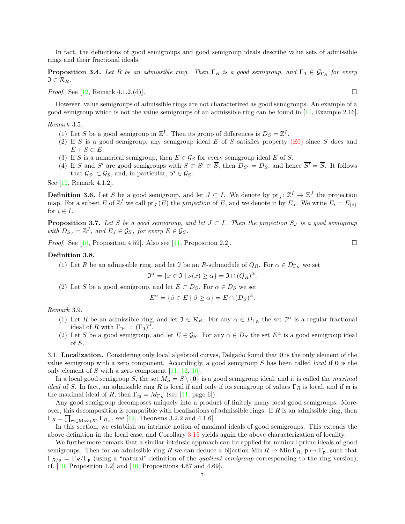In fact, the definitions of good semigroups and good semigroup ideals describe value sets of admissible rings and their fractional ideals.

<span id="page-6-5"></span>**Proposition 3.4.** *Let R be an admissible ring. Then*  $\Gamma_R$  *is a good semigroup, and*  $\Gamma_{\mathfrak{I}} \in \mathcal{G}_{\Gamma_R}$  *for every*  $\mathfrak{I} \in \mathcal{R}_R$ *.* 

*Proof.* See [\[12,](#page-19-11) Remark 4.1.2.(d)]. □

However, value semigroups of admissible rings are not characterized as good semigroups. An example of a good semigroup which is not the value semigroups of an admissible ring can be found in [\[11,](#page-19-10) Example 2.16].

<span id="page-6-8"></span><span id="page-6-6"></span>*Remark* 3.5*.*

- (1) Let *S* be a good semigroup in  $\mathbb{Z}^I$ . Then its group of differences is  $D_S = \mathbb{Z}^I$ .
- <span id="page-6-7"></span>(2) If *S* is a good semigroup, any semigroup ideal *E* of *S* satisfies property [\(E0\)](#page-5-5) since *S* does and  $E + S \subset E$ .
- (3) If *S* is a numerical semigroup, then  $E \in \mathcal{G}_S$  for every semigroup ideal *E* of *S*.
- (4) If *S* and *S'* are good semigroups with  $S \subset S' \subset \overline{S}$ , then  $D_{S'} = D_S$ , and hence  $\overline{S'} = \overline{S}$ . It follows that  $\mathcal{G}_{S'} \subset \mathcal{G}_S$ , and, in particular,  $S' \in \mathcal{G}_S$ .

See [\[12,](#page-19-11) Remark 4.1.2].

<span id="page-6-3"></span>**Definition 3.6.** Let *S* be a good semigroup, and let  $J \subset I$ . We denote by  $pr_J : \mathbb{Z}^I \to \mathbb{Z}^J$  the projection map. For a subset *E* of  $\mathbb{Z}^I$  we call  $\text{pr}_J(E)$  the *projection* of *E*, and we denote it by  $E_J$ . We write  $E_i = E_{\{i\}}$ for  $i \in I$ .

<span id="page-6-4"></span>**Proposition 3.7.** *Let S be a good semigroup, and let*  $J \subset I$ *. Then the projection*  $S_J$  *is a good semigroup with*  $D_{S_J} = \mathbb{Z}^J$ , and  $E_J \in \mathcal{G}_{S_J}$  for every  $E \in \mathcal{G}_S$ .

*Proof.* See [\[16,](#page-19-15) Proposition 4.59]. Also see [\[11,](#page-19-10) Proposition 2.2].

# **Definition 3.8.**

(1) Let *R* be an admissible ring, and let  $\Im$  be an *R*-submodule of  $Q_R$ . For  $\alpha \in D_{\Gamma_R}$  we set

$$
\mathfrak{I}^{\alpha} = \{ x \in \mathfrak{I} \mid \nu(x) \ge \alpha \} = \mathfrak{I} \cap (Q_R)^{\alpha}.
$$

(2) Let *S* be a good semigroup, and let  $E \subset D_S$ . For  $\alpha \in D_S$  we set

$$
E^{\alpha} = \{ \beta \in E \mid \beta \ge \alpha \} = E \cap (D_S)^{\alpha}.
$$

<span id="page-6-2"></span><span id="page-6-0"></span>*Remark* 3.9*.*

- (1) Let *R* be an admissible ring, and let  $\mathfrak{I} \in \mathcal{R}_R$ . For any  $\alpha \in D_{\Gamma_R}$  the set  $\mathfrak{I}^{\alpha}$  is a regular fractional ideal of *R* with  $\Gamma_{\mathfrak{I}^{\alpha}} = (\Gamma_{\mathfrak{I}})^{\alpha}$ .
- <span id="page-6-1"></span>(2) Let *S* be a good semigroup, and let  $E \in \mathcal{G}_S$ . For any  $\alpha \in D_S$  the set  $E^{\alpha}$  is a good semigroup ideal of *S*.

3.1. **Localization.** Considering only local algebroid curves, Delgado found that **0** is the only element of the value semigroup with a zero component. Accordingly, a good semigroup *S* has been called *local* if **0** is the only element of *S* with a zero component [\[11,](#page-19-10) [12,](#page-19-11) [16\]](#page-19-15).

In a local good semigroup *S*, the set  $M_S = S \setminus \{0\}$  is a good semigroup ideal, and it is called the *maximal ideal* of *S*. In fact, an admissible ring *R* is local if and only if its semigroup of values Γ*<sup>R</sup>* is local, and if m is the maximal ideal of *R*, then  $\Gamma_{\mathfrak{m}} = M_{\Gamma_R}$  (see [\[11,](#page-19-10) page 6]).

Any good semigroup decomposes uniquely into a product of finitely many local good semigroups. Moreover, this decomposition is compatible with localizations of admissible rings: If *R* is an admissible ring, then  $\Gamma_R = \prod_{\mathfrak{m} \in \text{Max}(R)} \Gamma_{R_{\mathfrak{m}}}$ , see [\[12,](#page-19-11) Theorems 3.2.2 and 4.1.6].

In this section, we establish an intrinsic notion of maximal ideals of good semigroups. This extends the above definition in the local case, and Corollary [3.15](#page-7-0) yields again the above characterization of locality.

We furthermore remark that a similar intrinsic approach can be applied for minimal prime ideals of good semigroups. Then for an admissible ring *R* we can deduce a bijection Min  $R \to \text{Min } \Gamma_R$ ,  $\mathfrak{p} \mapsto \Gamma_{\mathfrak{p}}$ , such that  $\Gamma_{R/\mathfrak{p}} = \Gamma_R/\Gamma_{\mathfrak{p}}$  (using a "natural" definition of the *quotient semigroup* corresponding to the ring version). cf.  $[10,$  Proposition 1.2 and  $[16,$  Propositions 4.67 and 4.69.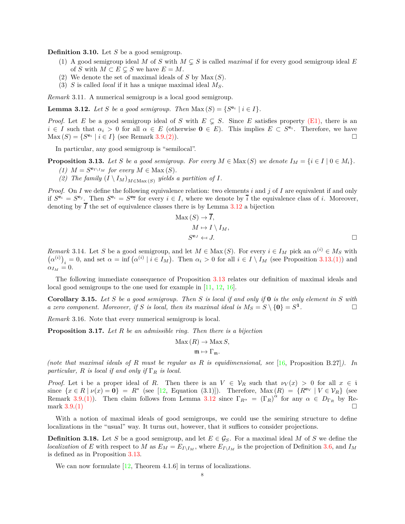**Definition 3.10.** Let *S* be a good semigroup.

- (1) A good semigroup ideal *M* of *S* with  $M \subseteq S$  is called *maximal* if for every good semigroup ideal *E* of *S* with  $M \subset E \subseteq S$  we have  $E = M$ .
- (2) We denote the set of maximal ideals of *S* by Max (*S*).
- (3) *S* is called *local* if it has a unique maximal ideal *MS*.

*Remark* 3.11*.* A numerical semigroup is a local good semigroup.

<span id="page-7-1"></span>**Lemma 3.12.** *Let S be a good semigroup. Then*  $\text{Max}(S) = \{S^{\mathbf{e}_i} \mid i \in I\}.$ 

*Proof.* Let *E* be a good semigroup ideal of *S* with  $E \subseteq S$ . Since *E* satisfies property [\(E1\),](#page-5-3) there is an  $i \in I$  such that  $\alpha_i > 0$  for all  $\alpha \in E$  (otherwise  $0 \in E$ ). This implies  $E \subset S^{\mathbf{e}_i}$ . Therefore, we have  $\text{Max}(S) = \{S^{\mathbf{e}_i} \mid i \in I\} \text{ (see Remark 3.9. (2))}.$  $\text{Max}(S) = \{S^{\mathbf{e}_i} \mid i \in I\} \text{ (see Remark 3.9. (2))}.$  $\text{Max}(S) = \{S^{\mathbf{e}_i} \mid i \in I\} \text{ (see Remark 3.9. (2))}.$  $\text{Max}(S) = \{S^{\mathbf{e}_i} \mid i \in I\} \text{ (see Remark 3.9. (2))}.$  $\text{Max}(S) = \{S^{\mathbf{e}_i} \mid i \in I\} \text{ (see Remark 3.9. (2))}.$ 

In particular, any good semigroup is "semilocal".

<span id="page-7-4"></span><span id="page-7-3"></span><span id="page-7-2"></span>**Proposition 3.13.** Let *S* be a good semigroup. For every  $M \in \text{Max}(S)$  we denote  $I_M = \{i \in I \mid 0 \in M_i\}$ .

- (1)  $M = S^{\mathbf{e}_{I \setminus I_M}}$  for every  $M \in \text{Max}(S)$ .
- (2) The family  $(I \setminus I_M)_{M \in \text{Max}(S)}$  yields a partition of *I*.

*Proof.* On *I* we define the following equivalence relation: two elements *i* and *j* of *I* are equivalent if and only if  $S^{\mathbf{e}_i} = S^{\mathbf{e}_j}$ . Then  $S^{\mathbf{e}_i} = S^{\mathbf{e}_i}$  for every  $i \in I$ , where we denote by  $\overline{i}$  the equivalence class of *i*. Moreover, denoting by  $\overline{I}$  the set of equivalence classes there is by Lemma [3.12](#page-7-1) a bijection

$$
\begin{aligned}\n\text{Max}(S) &\rightarrow I, \\
M &\mapsto I \setminus I_M, \\
S^{\mathbf{e}_J} &\leftarrow J.\n\end{aligned}
$$

<span id="page-7-5"></span>*Remark* 3.14. Let *S* be a good semigroup, and let  $M \in Max(S)$ . For every  $i \in I_M$  pick an  $\alpha^{(i)} \in M_S$  with  $(\alpha^{(i)})_i = 0$ , and set  $\alpha = \inf ((\alpha^{(i)} \mid i \in I_M))$ . Then  $\alpha_i > 0$  for all  $i \in I \setminus I_M$  (see Proposition [3.13.](#page-7-2)[\(1\)\)](#page-7-3) and  $\alpha_{I_M} = 0.$ 

The following immediate consequence of Proposition [3.13](#page-7-2) relates our definition of maximal ideals and local good semigroups to the one used for example in [\[11,](#page-19-10) [12,](#page-19-11) [16\]](#page-19-15).

<span id="page-7-0"></span>**Corollary 3.15.** *Let S be a good semigroup. Then S is local if and only if* **0** *is the only element in S with a zero component. Moreover, if S is local, then its maximal ideal is*  $M_S = S \setminus \{0\} = S^1$ *.*

<span id="page-7-6"></span>*Remark* 3.16*.* Note that every numerical semigroup is local.

<span id="page-7-7"></span>**Proposition 3.17.** *Let R be an admissible ring. Then there is a bijection*

$$
Max(R) \to Max S,
$$

$$
\mathfrak{m}\mapsto \Gamma_{\mathfrak{m}}.
$$

*(note that maximal ideals of R must be regular as R is equidimensional, see* [\[16,](#page-19-15) Proposition B.27]*). In particular, R is local if and only if* Γ*<sup>R</sup> is local.*

*Proof.* Let i be a proper ideal of *R*. Then there is an  $V \in V_R$  such that  $\nu_V(x) > 0$  for all  $x \in V_R$  $\{x \in R \mid \nu(x) = 0\} = R^*$  (see [\[12,](#page-19-11) Equation (3.1)]). Therefore,  $\text{Max}(R) = \{R^{\mathbf{e}_V} \mid V \in \mathcal{V}_R\}$  (see Remark [3.9.](#page-6-0)[\(1\)\)](#page-6-2). Then claim follows from Lemma [3.12](#page-7-1) since  $\Gamma_{R^{\alpha}} = (\Gamma_R)^{\alpha}$  for any  $\alpha \in D_{\Gamma_R}$  by Remark  $3.9.(1)$  $3.9.(1)$ 

With a notion of maximal ideals of good semigroups, we could use the semiring structure to define localizations in the "usual" way. It turns out, however, that it suffices to consider projections.

**Definition 3.18.** Let *S* be a good semigroup, and let  $E \in \mathcal{G}_S$ . For a maximal ideal *M* of *S* we define the *localization* of *E* with respect to *M* as  $E_M = E_{I \setminus I_M}$ , where  $E_{I \setminus I_M}$  is the projection of Definition [3.6,](#page-6-3) and  $I_M$ is defined as in Proposition [3.13.](#page-7-2)

We can now formulate  $[12,$  Theorem 4.1.6] in terms of localizations.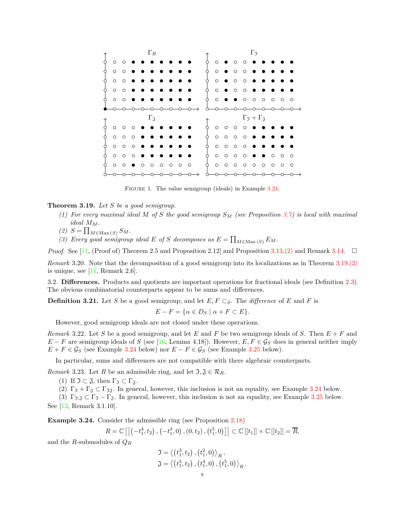<span id="page-8-4"></span>

FIGURE 1. The value semigroup (ideals) in Example [3.24.](#page-8-1)

# <span id="page-8-2"></span>**Theorem 3.19.** *Let S be a good semigroup.*

- *(1) For every maximal ideal M of S the good semigroup S<sup>M</sup> (see Proposition [3.7\)](#page-6-4) is local with maximal*  $ideal$   $M_M$ .
- <span id="page-8-3"></span> $(2)$   $S = \prod_{M \in \text{Max}(S)} S_M$ .
- (3) Every good semigroup ideal  $E$  of  $S$  decomposes as  $E = \prod_{M \in \text{Max}(S)} E_M$ .

*Proof.* See [\[11,](#page-19-10) (Proof of) Theorem 2.5 and Proposition 2.12] and Proposition [3.13](#page-7-2)[.\(2\)](#page-7-4) and Remark [3.14.](#page-7-5)  $\Box$ 

*Remark* 3.20*.* Note that the decomposition of a good semigroup into its localizations as in Theorem [3.19](#page-8-2)[.\(2\)](#page-8-3) is unique, see  $[11,$  Remark 2.6.

3.2. **Differences.** Products and quotients are important operations for fractional ideals (see Definition [2.3\)](#page-2-8). The obvious combinatorial counterparts appear to be sums and differences.

<span id="page-8-0"></span>**Definition 3.21.** Let *S* be a good semigroup, and let  $E, F \subset_S$ . The *difference* of *E* and *F* is

$$
E - F = \{ \alpha \in D_S \mid \alpha + F \subset E \}.
$$

However, good semigroup ideals are not closed under these operations.

<span id="page-8-8"></span>*Remark* 3.22*.* Let *S* be a good semigroup, and let *E* and *F* be two semigroup ideals of *S*. Then *E* + *F* and  $E - F$  are semigroup ideals of *S* (see [\[16,](#page-19-15) Lemma 4.18]). However,  $E, F \in \mathcal{G}_S$  does in general neither imply *E* + *F* ∈  $\mathcal{G}_S$  (see Example [3.24](#page-8-1) below) nor *E* − *F* ∈  $\mathcal{G}_S$  (see Example [3.25](#page-9-0) below).

In particular, sums and differences are not compatible with there algebraic counterparts.

<span id="page-8-9"></span><span id="page-8-5"></span>*Remark* 3.23*.* Let *R* be an admissible ring, and let  $\mathfrak{I}, \mathfrak{J} \in \mathcal{R}_R$ .

<span id="page-8-6"></span>(1) If  $\mathfrak{I} \subset \mathfrak{J}$ , then  $\Gamma_{\mathfrak{I}} \subset \Gamma_{\mathfrak{J}}$ .

<span id="page-8-7"></span>(2)  $\Gamma_5 + \Gamma_3 \subset \Gamma_{33}$ . In general, however, this inclusion is not an equality, see Example [3.24](#page-8-1) below.

(3)  $\Gamma_{\mathfrak{I}:\mathfrak{J}} \subset \Gamma_{\mathfrak{I}} - \Gamma_{\mathfrak{J}}$ . In general, however, this inclusion is not an equality, see Example [3.25](#page-9-0) below.

See [\[12,](#page-19-11) Remark 3.1.10].

<span id="page-8-1"></span>**Example 3.24.** Consider the admissible ring (see Proposition [2.18\)](#page-4-1)

$$
R=\mathbb{C}\left[\left[\left(-t_1^4,t_2\right),\left(-t_1^3,0\right),\left(0,t_2\right),\left(t_1^5,0\right)\right]\right]\subset\mathbb{C}\left[\left[t_1\right]\right]\times\mathbb{C}\left[\left[t_2\right]\right]=\overline{R},
$$

and the *R*-submodules of *Q<sup>R</sup>*

$$
\mathfrak{I} = \langle (t_1^3, t_2), (t_1^2, 0) \rangle_R, \n\mathfrak{J} = \langle (t_1^3, t_2), (t_1^4, 0), (t_1^5, 0) \rangle_R.
$$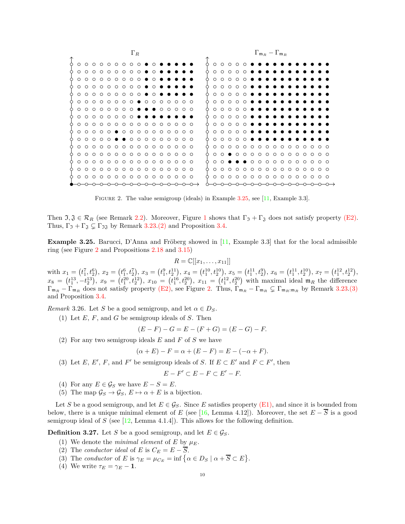<span id="page-9-1"></span>

| $\Gamma_R$ |        |  |                                       |  |  |                                        |                         |  |  |          |  |                                                                  | $\Gamma_{\mathfrak{m}_R}-\Gamma_{\mathfrak{m}_R}$ |  |          |  |        |                                       |         |        |                                     |  |  |  |  |  |  |         |                 |  |
|------------|--------|--|---------------------------------------|--|--|----------------------------------------|-------------------------|--|--|----------|--|------------------------------------------------------------------|---------------------------------------------------|--|----------|--|--------|---------------------------------------|---------|--------|-------------------------------------|--|--|--|--|--|--|---------|-----------------|--|
|            |        |  |                                       |  |  |                                        |                         |  |  |          |  |                                                                  |                                                   |  |          |  |        |                                       |         |        |                                     |  |  |  |  |  |  |         |                 |  |
| ∩          | $\cap$ |  |                                       |  |  |                                        |                         |  |  | $\cap$   |  |                                                                  |                                                   |  | ∩        |  | $\cap$ |                                       |         |        | $\circ$ $\circ$ $\bullet$ $\bullet$ |  |  |  |  |  |  |         |                 |  |
| $\circ$    |        |  | $\circ \circ \circ \circ \circ \circ$ |  |  |                                        | $\circ$ $\circ$ $\circ$ |  |  | $\Omega$ |  |                                                                  |                                                   |  | $\Omega$ |  |        | $\circ$ $\circ$ $\circ$               | $\circ$ |        | .                                   |  |  |  |  |  |  |         |                 |  |
| $\circ$    |        |  |                                       |  |  | $000000000$                            |                         |  |  | $\cap$   |  |                                                                  |                                                   |  | $\cap$   |  |        | $\circ \circ \circ \circ \circ$       |         |        | .                                   |  |  |  |  |  |  |         |                 |  |
| $\circ$    |        |  |                                       |  |  | 00000000                               |                         |  |  | $\cap$   |  |                                                                  |                                                   |  | $\Omega$ |  |        | 0 0 0 0 <b>0 0 0</b>                  |         |        |                                     |  |  |  |  |  |  |         |                 |  |
| $\circ$    |        |  |                                       |  |  | 00000000                               |                         |  |  | $\cap$   |  |                                                                  |                                                   |  | $\Omega$ |  |        | 0 0 0 <b>0 0 0 0</b>                  |         |        |                                     |  |  |  |  |  |  |         |                 |  |
| $\cap$     |        |  |                                       |  |  |                                        |                         |  |  |          |  |                                                                  |                                                   |  | $\cap$   |  |        | 0 0 0 <b>0 0 0 0</b>                  |         |        |                                     |  |  |  |  |  |  |         |                 |  |
|            |        |  |                                       |  |  | 0 0 0 0 0 0 0 0 <b>0 0 0</b> 0 0 0 0 0 |                         |  |  |          |  |                                                                  |                                                   |  | $\circ$  |  |        | 0 0 0 <b>0 0 0 0</b>                  |         |        |                                     |  |  |  |  |  |  |         |                 |  |
|            |        |  |                                       |  |  | . <b>. .</b>                           |                         |  |  |          |  |                                                                  |                                                   |  | $\Omega$ |  |        | 0 0 0 <b>0 0 0 0</b>                  |         |        |                                     |  |  |  |  |  |  |         |                 |  |
| $\circ$    |        |  |                                       |  |  | 0 0 0 0 0 0 0 0 0 0                    |                         |  |  |          |  | $\begin{array}{ccc} & \circ & \circ & \circ & \circ \end{array}$ |                                                   |  | $\cap$   |  |        | 0 0 0 <b>0 0 0 0</b>                  |         |        |                                     |  |  |  |  |  |  |         |                 |  |
| $\circ$    |        |  |                                       |  |  |                                        |                         |  |  |          |  |                                                                  |                                                   |  | $\cap$   |  |        | $\circ \circ \circ \circ \circ$       |         |        | .                                   |  |  |  |  |  |  |         |                 |  |
|            |        |  |                                       |  |  | 0 0 0 0 0 0 0 0 0 0 0 0 0 0 0 0        |                         |  |  |          |  |                                                                  |                                                   |  | $\cap$   |  |        | $\circ$ $\circ$ $\circ$ $\circ$       |         |        | .                                   |  |  |  |  |  |  |         |                 |  |
|            |        |  |                                       |  |  | .                                      |                         |  |  |          |  |                                                                  |                                                   |  | $\Omega$ |  |        | .                                     |         |        |                                     |  |  |  |  |  |  |         |                 |  |
| $\circ$    |        |  |                                       |  |  |                                        |                         |  |  |          |  |                                                                  |                                                   |  | $\Omega$ |  |        | $0 \bullet 0 0 0 0 0 0 0 0 0 0 0 0 0$ |         |        |                                     |  |  |  |  |  |  |         |                 |  |
| $\cap$     |        |  |                                       |  |  | .                                      |                         |  |  |          |  |                                                                  |                                                   |  | $\Omega$ |  |        | .                                     |         | $\cap$ |                                     |  |  |  |  |  |  |         | .               |  |
| $\circ$    |        |  |                                       |  |  | 0 0 0 0 0 0 0 0 0 0 0 0 0 0 0          |                         |  |  |          |  |                                                                  |                                                   |  | $\circ$  |  |        |                                       |         |        |                                     |  |  |  |  |  |  |         |                 |  |
| $\cap$     |        |  |                                       |  |  |                                        |                         |  |  |          |  |                                                                  | ററ                                                |  | $\circ$  |  |        | 0000                                  |         |        | $0 0 0 0 0 0 0 0 0$                 |  |  |  |  |  |  | $\circ$ | $\circ$ $\circ$ |  |
|            |        |  |                                       |  |  |                                        |                         |  |  |          |  |                                                                  |                                                   |  |          |  |        |                                       |         |        |                                     |  |  |  |  |  |  |         |                 |  |

Figure 2. The value semigroup (ideals) in Example [3.25,](#page-9-0) see [\[11,](#page-19-10) Example 3.3].

Then  $\mathfrak{I}, \mathfrak{J} \in \mathcal{R}_R$  (see Remark [2.2\)](#page-2-9). Moreover, Figure [1](#page-8-4) shows that  $\Gamma_{\mathfrak{I}} + \Gamma_{\mathfrak{J}}$  does not satisfy property [\(E2\).](#page-5-4) Thus,  $\Gamma_1 + \Gamma_3 \subsetneq \Gamma_{3}$  by Remark [3.23](#page-8-5)[.\(2\)](#page-8-6) and Proposition [3.4.](#page-6-5)

<span id="page-9-0"></span>**Example 3.25.** Barucci, D'Anna and Fröberg showed in [\[11,](#page-19-10) Example 3.3] that for the local admissible ring (see Figure [2](#page-9-1) and Propositions [2.18](#page-4-1) and [3.15\)](#page-7-0)

$$
R = \mathbb{C}[[x_1,\ldots,x_{11}]]
$$

with  $x_1 = (t_1^7, t_2^6), x_2 = (t_1^6, t_2^7), x_3 = (t_1^9, t_2^{11}), x_4 = (t_1^{10}, t_2^{10}), x_5 = (t_1^{11}, t_2^{9}), x_6 = (t_1^{11}, t_2^{10}), x_7 = (t_1^{12}, t_2^{12}),$  $x_8 = (t_1^{13}, -t_2^{13})$ ,  $x_9 = (t_1^{20}, t_2^{12})$ ,  $x_{10} = (t_1^{16}, t_2^{20})$ ,  $x_{11} = (t_1^{12}, t_2^{20})$  with maximal ideal  $\mathfrak{m}_R$  the difference  $\Gamma_{\mathfrak{m}_R} - \Gamma_{\mathfrak{m}_R}$  does not satisfy property [\(E2\),](#page-5-4) see Figure [2.](#page-9-1) Thus,  $\Gamma_{\mathfrak{m}_R} - \Gamma_{\mathfrak{m}_R} \subsetneq \Gamma_{\mathfrak{m}_R:\mathfrak{m}_R}$  by Remark [3.23](#page-8-5)[.\(3\)](#page-8-7) and Proposition [3.4.](#page-6-5)

<span id="page-9-2"></span>*Remark* 3.26*.* Let *S* be a good semigroup, and let  $\alpha \in D_S$ .

(1) Let *E*, *F*, and *G* be semigroup ideals of *S*. Then

$$
(E - F) - G = E - (F + G) = (E - G) - F.
$$

<span id="page-9-4"></span>(2) For any two semigroup ideals *E* and *F* of *S* we have

$$
(\alpha + E) - F = \alpha + (E - F) = E - (-\alpha + F).
$$

<span id="page-9-3"></span>(3) Let *E*, *E'*, *F*, and *F'* be semigroup ideals of *S*. If  $E \subset E'$  and  $F \subset F'$ , then

$$
E - F' \subset E - F \subset E' - F.
$$

- (4) For any  $E \in \mathcal{G}_S$  we have  $E S = E$ .
- (5) The map  $\mathcal{G}_S \to \mathcal{G}_S$ ,  $E \mapsto \alpha + E$  is a bijection.

Let *S* be a good semigroup, and let  $E \in \mathcal{G}_S$ . Since *E* satisfies property [\(E1\),](#page-5-3) and since it is bounded from below, there is a unique minimal element of *E* (see [\[16,](#page-19-15) Lemma 4.12]). Moreover, the set  $E - \overline{S}$  is a good semigroup ideal of *S* (see [\[12,](#page-19-11) Lemma 4.1.4]). This allows for the following definition.

<span id="page-9-5"></span>**Definition 3.27.** Let *S* be a good semigroup, and let  $E \in \mathcal{G}_S$ .

- (1) We denote the *minimal element* of  $E$  by  $\mu_E$ .
- <span id="page-9-6"></span>(2) The *conductor ideal* of *E* is  $C_E = E - \overline{S}$ .
- (3) The *conductor* of *E* is  $\gamma_E = \mu_{C_E} = \inf \{ \alpha \in D_S \mid \alpha + \overline{S} \subset E \}.$
- (4) We write  $\tau_E = \gamma_E 1$ .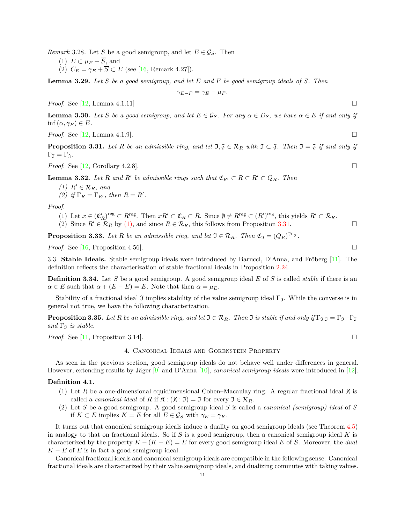<span id="page-10-9"></span><span id="page-10-8"></span><span id="page-10-7"></span>*Remark* 3.28. Let *S* be a good semigroup, and let  $E \in \mathcal{G}_S$ . Then

- (1)  $E \subset \mu_E + \overline{S}$ , and
- (2)  $C_E = \gamma_E + \overline{S} \subset E$  (see [\[16,](#page-19-15) Remark 4.27]).

<span id="page-10-3"></span>**Lemma 3.29.** *Let S be a good semigroup, and let E and F be good semigroup ideals of S. Then*

$$
\gamma_{E-F} = \gamma_E - \mu_F.
$$

*Proof.* See [\[12,](#page-19-11) Lemma 4.1.11]

<span id="page-10-10"></span>**Lemma 3.30.** Let S be a good semigroup, and let  $E \in \mathcal{G}_S$ . For any  $\alpha \in D_S$ , we have  $\alpha \in E$  if and only if inf  $(\alpha, \gamma_E) \in E$ *.* 

*Proof.* See [\[12,](#page-19-11) Lemma 4.1.9].

<span id="page-10-2"></span>**Proposition 3.31.** *Let*  $R$  *be an admissible ring, and let*  $\mathfrak{I}, \mathfrak{J} \in \mathcal{R}_R$  *with*  $\mathfrak{I} \subset \mathfrak{J}$ . Then  $\mathfrak{I} = \mathfrak{J}$  *if and only if*  $\Gamma_{\mathfrak{I}} = \Gamma_{\mathfrak{J}}.$ 

*Proof.* See [\[12,](#page-19-11) Corollary 4.2.8].

<span id="page-10-13"></span><span id="page-10-12"></span><span id="page-10-1"></span>**Lemma 3.32.** Let R and R' be admissible rings such that  $\mathfrak{C}_{R'} \subset R \subset R' \subset Q_R$ . Then

- *(1)*  $R' \in \mathcal{R}_R$ *, and*
- *(2) if*  $\Gamma_R = \Gamma_{R'}$ *, then*  $R = R'$ *.*

*Proof.*

- (1) Let  $x \in (\mathfrak{C}'_R)^{\text{reg}} \subset R^{\text{reg}}$ . Then  $xR' \subset \mathfrak{C}_R \subset R$ . Since  $\emptyset \neq R^{\text{reg}} \subset (R')^{\text{reg}}$ , this yields  $R' \subset \mathcal{R}_R$ . (2) Since  $R' \in \mathcal{R}_R$  by [\(1\),](#page-10-1) and since  $R \in \mathcal{R}_R$ , this follows from Proposition [3.31.](#page-10-2)
- <span id="page-10-11"></span>**Proposition 3.33.** *Let R be an admissible ring, and let*  $\mathfrak{I} \in \mathcal{R}_R$ *. Then*  $\mathfrak{C}_{\mathfrak{I}} = (Q_R)^{\gamma_{\Gamma_{\mathfrak{I}}}}$ *.*

*Proof.* See [\[16,](#page-19-15) Proposition 4.56].

3.3. **Stable Ideals.** Stable semigroup ideals were introduced by Barucci, D'Anna, and Fröberg [\[11\]](#page-19-10). The definition reflects the characterization of stable fractional ideals in Proposition [2.24.](#page-5-6)

**Definition 3.34.** Let *S* be a good semigroup. A good semigroup ideal *E* of *S* is called *stable* if there is an  $\alpha \in E$  such that  $\alpha + (E - E) = E$ . Note that then  $\alpha = \mu_E$ .

Stability of a fractional ideal J implies stability of the value semigroup ideal  $\Gamma_{\mathfrak{I}}$ . While the converse is in general not true, we have the following characterization.

<span id="page-10-6"></span>**Proposition 3.35.** *Let R be an admissible ring, and let*  $\Im \in \mathcal{R}_R$ *. Then*  $\Im$  *is stable if and only if*  $\Gamma_{\Im \colon \Im} = \Gamma_{\Im} - \Gamma_{\Im}$  $and \Gamma_{\Im}$  *is stable.* 

<span id="page-10-0"></span>*Proof.* See [\[11,](#page-19-10) Proposition 3.14].

#### 4. Canonical Ideals and Gorenstein Property

As seen in the previous section, good semigroup ideals do not behave well under differences in general. However, extending results by Jäger [\[9\]](#page-19-8) and D'Anna [\[10\]](#page-19-9), *canonical semigroup ideals* were introduced in [\[12\]](#page-19-11).

# <span id="page-10-4"></span>**Definition 4.1.**

- (1) Let R be a one-dimensional equidimensional Cohen–Macaulay ring. A regular fractional ideal  $\mathfrak{K}$  is called a *canonical ideal* of *R* if  $\mathfrak{K} : (\mathfrak{K} : \mathfrak{I}) = \mathfrak{I}$  for every  $\mathfrak{I} \in \mathcal{R}_R$ .
- <span id="page-10-5"></span>(2) Let *S* be a good semigroup. A good semigroup ideal *S* is called a *canonical (semigroup) ideal* of *S* if  $K \subset E$  implies  $K = E$  for all  $E \in \mathcal{G}_S$  with  $\gamma_E = \gamma_K$ .

It turns out that canonical semigroup ideals induce a duality on good semigroup ideals (see Theorem [4.5\)](#page-11-0) in analogy to that on fractional ideals. So if *S* is a good semigroup, then a canonical semigroup ideal *K* is characterized by the property  $K - (K - E) = E$  for every good semigroup ideal *E* of *S*. Moreover, the *dual*  $K - E$  of *E* is in fact a good semigroup ideal.

Canonical fractional ideals and canonical semigroup ideals are compatible in the following sense: Canonical fractional ideals are characterized by their value semigroup ideals, and dualizing commutes with taking values.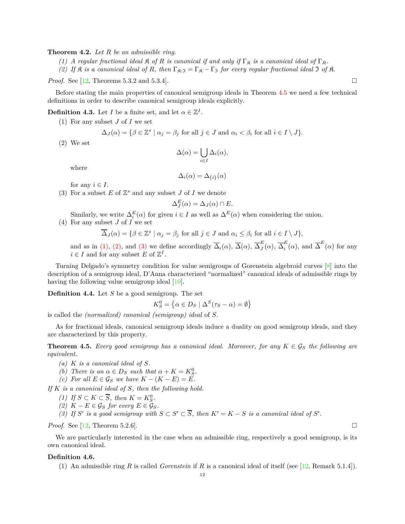<span id="page-11-11"></span><span id="page-11-10"></span>**Theorem 4.2.** *Let R be an admissible ring.*

*(1)* A regular fractional ideal  $\Re$  *of*  $R$  *is canonical if and only if*  $\Gamma_{\Re}$  *is a canonical ideal of*  $\Gamma_R$ *.* 

*(2)* If  $\hat{\mathcal{R}}$  *is a canonical ideal of*  $R$ *, then*  $\Gamma_{\hat{\mathcal{R}}:\mathcal{I}} = \Gamma_{\hat{\mathcal{R}}} - \Gamma_{\mathcal{I}}$  *for every regular fractional ideal*  $\mathcal{I}$  *of*  $\hat{\mathcal{R}}$ *.* 

*Proof.* See [\[12,](#page-19-11) Theorems 5.3.2 and 5.3.4].

Before stating the main properties of canonical semigroup ideals in Theorem [4.5](#page-11-0) we need a few technical definitions in order to describe canonical semigroup ideals explicitly.

<span id="page-11-6"></span><span id="page-11-1"></span>**Definition 4.3.** Let *I* be a finite set, and let  $\alpha \in \mathbb{Z}^I$ .

(1) For any subset *J* of *I* we set

$$
\Delta_J(\alpha) = \{ \beta \in \mathbb{Z}^s \mid \alpha_j = \beta_j \text{ for all } j \in J \text{ and } \alpha_i < \beta_i \text{ for all } i \in I \setminus J \}.
$$

<span id="page-11-2"></span>(2) We set

$$
\Delta(\alpha) = \bigcup_{i \in I} \Delta_i(\alpha),
$$

where

$$
\Delta_i(\alpha) = \Delta_{\{i\}}(\alpha)
$$

for any  $i \in I$ .

<span id="page-11-3"></span>(3) For a subset  $E$  of  $\mathbb{Z}^s$  and any subset  $J$  of  $I$  we denote

$$
\Delta_J^E(\alpha) = \Delta_J(\alpha) \cap E.
$$

Similarly, we write  $\Delta_i^E(\alpha)$  for given  $i \in I$  as well as  $\Delta^E(\alpha)$  when considering the union.

(4) For any subset *J* of *I* we set

 $\overline{\Delta}_J(\alpha) = \{\beta \in \mathbb{Z}^s \mid \alpha_j = \beta_j \text{ for all } j \in J \text{ and } \alpha_i \leq \beta_i \text{ for all } i \in I \setminus J\},\$ 

and as in [\(1\),](#page-11-1) [\(2\),](#page-11-2) and [\(3\)](#page-11-3) we define accordingly  $\overline{\Delta}_i(\alpha)$ ,  $\overline{\Delta}(\alpha)$ ,  $\overline{\Delta}_J^E$  $\frac{E}{J}(\alpha)$ ,  $\overline{\Delta}_i^E$  $E_i^E(\alpha)$ , and  $\overline{\Delta}^E(\alpha)$  for any  $i \in I$  and for any subset *E* of  $\mathbb{Z}^I$ .

Turning Delgado's symmetry condition for value semigroups of Gorenstein algebroid curves [\[8\]](#page-19-7) into the description of a semigroup ideal, D'Anna characterized "normalized" canonical ideals of admissible rings by having the following value semigroup ideal [\[10\]](#page-19-9).

<span id="page-11-5"></span>**Definition 4.4.** Let *S* be a good semigroup. The set

$$
K_S^0 = \left\{ \alpha \in D_S \mid \Delta^S(\tau_S - \alpha) = \emptyset \right\}
$$

is called the *(normalized) canonical (semigroup) ideal* of *S*.

As for fractional ideals, canonical semigroup ideals induce a duality on good semigroup ideals, and they are characterized by this property.

<span id="page-11-0"></span>**Theorem 4.5.** *Every good semigroup has a canonical ideal. Moreover, for any*  $K \in \mathcal{G}_S$  *the following are equivalent.*

- <span id="page-11-4"></span>*(a) K is a canonical ideal of S.*
- *(b)* There is an  $\alpha \in D_S$  such that  $\alpha + K = K_S^0$ .
- *(c)* For all  $E \in \mathcal{G}_S$  *we have*  $K (K E) = E$ .

<span id="page-11-7"></span>*If K is a canonical ideal of S, then the following hold.*

- <span id="page-11-9"></span>*(1) If S* ⊂ *K* ⊂  $\overline{S}$ *, then K* =  $K_S^0$ .
- <span id="page-11-8"></span>*(2)*  $K - E \in \mathcal{G}_S$  *for every*  $E \in \mathcal{G}_S$ *.*
- (3) If *S*<sup> $\prime$ </sup> is a good semigroup with  $S \subset S' \subset \overline{S}$ , then  $K' = K S$  is a canonical ideal of *S*<sup> $\prime$ </sup>.

*Proof.* See [\[12,](#page-19-11) Theorem 5.2.6].

We are particularly interested in the case when an admissible ring, respectively a good semigroup, is its own canonical ideal.

### **Definition 4.6.**

(1) An admissible ring *R* is called *Gorenstein* if *R* is a canonical ideal of itself (see [\[12,](#page-19-11) Remark 5.1.4]).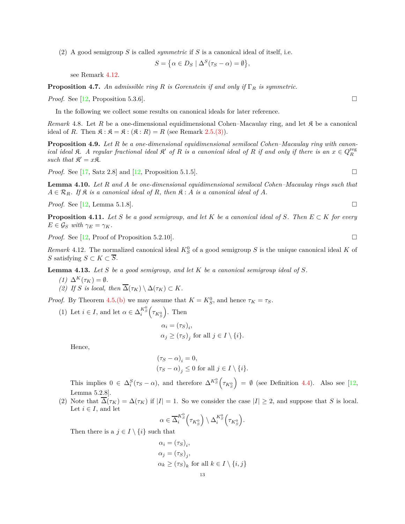(2) A good semigroup *S* is called *symmetric* if *S* is a canonical ideal of itself, i.e.

$$
S = \{ \alpha \in D_S \mid \Delta^S(\tau_S - \alpha) = \emptyset \},\
$$

see Remark [4.12.](#page-12-0)

<span id="page-12-2"></span>**Proposition 4.7.** *An admissible ring R is Gorenstein if and only if* Γ*<sup>R</sup> is symmetric.*

*Proof.* See [\[12,](#page-19-11) Proposition 5.3.6].

In the following we collect some results on canonical ideals for later reference.

*Remark* 4.8. Let *R* be a one-dimensional equidimensional Cohen–Macaulay ring, and let *R* be a canonical ideal of *R*. Then  $\mathfrak{K} : \mathfrak{K} = \mathfrak{K} : (\mathfrak{K} : R) = R$  (see Remark [2.5](#page-2-6)[.\(3\)\)](#page-2-10).

**Proposition 4.9.** *Let R be a one-dimensional equidimensional semilocal Cohen–Macaulay ring with canonical ideal*  $\mathfrak{K}$ . A regular fractional ideal  $\mathfrak{K}'$  of  $R$  is a canonical ideal of  $R$  if and only if there is an  $x \in Q_R^{\text{reg}}$ such that  $\mathfrak{K}' = x\mathfrak{K}$ .

*Proof.* See [\[17,](#page-19-16) Satz 2.8] and [\[12,](#page-19-11) Proposition 5.1.5].

**Lemma 4.10.** *Let R and A be one-dimensional equidimensional semilocal Cohen–Macaulay rings such that*  $A \in \mathcal{R}_R$ *. If*  $\mathfrak{K}$  *is a canonical ideal of*  $R$ *, then*  $\mathfrak{K}$  :  $A$  *is a canonical ideal of*  $A$ *.* 

*Proof.* See [\[12,](#page-19-11) Lemma 5.1.8].

<span id="page-12-1"></span>**Proposition 4.11.** Let S be a good semigroup, and let K be a canonical ideal of S. Then  $E \subset K$  for every  $E \in \mathcal{G}_S$  *with*  $\gamma_E = \gamma_K$ *.* 

*Proof.* See [\[12,](#page-19-11) Proof of Proposition 5.2.10].

<span id="page-12-0"></span>*Remark* 4.12. The normalized canonical ideal  $K_S^0$  of a good semigroup *S* is the unique canonical ideal *K* of *S* satisfying *S* ⊂ *K* ⊂  $\overline{S}$ .

<span id="page-12-5"></span><span id="page-12-3"></span>**Lemma 4.13.** *Let S be a good semigroup, and let K be a canonical semigroup ideal of S.*

- <span id="page-12-4"></span>*(1)*  $\Delta^K(\tau_K) = \emptyset$ *.*
- *(2) If S is local, then*  $\overline{\Delta}(\tau_K) \setminus \Delta(\tau_K) \subset K$ *.*

*Proof.* By Theorem [4.5](#page-11-0)[.\(b\)](#page-11-4) we may assume that  $K = K_S^0$ , and hence  $\tau_K = \tau_S$ .

(1) Let  $i \in I$ , and let  $\alpha \in \Delta_i^{K_S^0} \left( \tau_{K_S^0} \right)$ . Then

$$
\alpha_i = (\tau_S)_i,
$$
  
\n
$$
\alpha_j \ge (\tau_S)_j \text{ for all } j \in I \setminus \{i\}.
$$

Hence,

$$
\begin{aligned} &(\tau_S-\alpha)_i=0,\\ &(\tau_S-\alpha)_j\leq 0\text{ for all }j\in I\setminus\{i\}. \end{aligned}
$$

This implies  $0 \in \Delta_i^S(\tau_S - \alpha)$ , and therefore  $\Delta^{K_S^0}(\tau_{K_S^0})$  $= \emptyset$  (see Definition [4.4\)](#page-11-5). Also see [\[12,](#page-19-11) Lemma 5.2.8].

(2) Note that  $\overline{\Delta}(\tau_K) = \Delta(\tau_K)$  if  $|I| = 1$ . So we consider the case  $|I| \geq 2$ , and suppose that *S* is local. Let  $i \in I$ , and let

$$
\alpha \in \overline{\Delta}_i^{K_S^0} \left( \tau_{K_S^0} \right) \setminus \Delta_i^{K_S^0} \left( \tau_{K_S^0} \right).
$$

Then there is a  $j \in I \setminus \{i\}$  such that

$$
\alpha_i = (\tau_S)_i,
$$
  
\n
$$
\alpha_j = (\tau_S)_j,
$$
  
\n
$$
\alpha_k \ge (\tau_S)_k \text{ for all } k \in I \setminus \{i, j\}
$$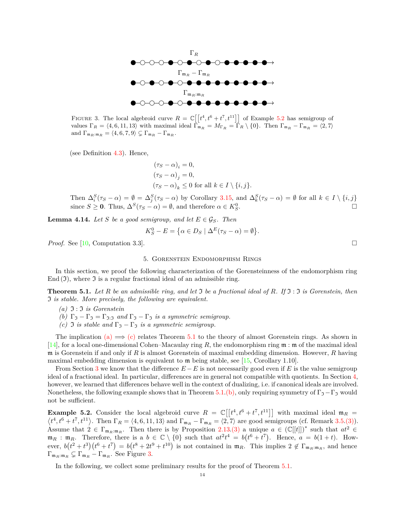<span id="page-13-6"></span>

FIGURE 3. The local algebroid curve  $R = \mathbb{C}[\lbrack t^4, t^6 + t^7, t^{11} \rbrack]$  of Example [5.2](#page-13-2) has semigroup of values  $\Gamma_R = \langle 4, 6, 11, 13 \rangle$  with maximal ideal  $\Gamma_{\mathfrak{m}_R} = M_{\Gamma_R} = \Gamma_R \setminus \{0\}$ . Then  $\Gamma_{\mathfrak{m}_R} - \Gamma_{\mathfrak{m}_R} = \langle 2, 7 \rangle$ and  $\Gamma_{\mathfrak{m}_R:\mathfrak{m}_R} = \langle 4,6,7,9 \rangle \subsetneq \Gamma_{\mathfrak{m}_R} - \Gamma_{\mathfrak{m}_R}$ .

(see Definition [4.3\)](#page-11-6). Hence,

$$
(\tau_S - \alpha)_i = 0,
$$
  
\n
$$
(\tau_S - \alpha)_j = 0,
$$
  
\n
$$
(\tau_S - \alpha)_k \le 0 \text{ for all } k \in I \setminus \{i, j\}.
$$

Then  $\Delta_i^S(\tau_S - \alpha) = \emptyset = \Delta_j^S(\tau_S - \alpha)$  by Corollary [3.15,](#page-7-0) and  $\Delta_k^S(\tau_S - \alpha) = \emptyset$  for all  $k \in I \setminus \{i, j\}$ since  $S \geq 0$ . Thus,  $\Delta^{S}(\tau_S - \alpha) = \emptyset$ , and therefore  $\alpha \in K_S^0$ .

<span id="page-13-7"></span>**Lemma 4.14.** *Let S be a good semigroup, and let*  $E \in \mathcal{G}_S$ *. Then* 

$$
K_S^0 - E = \{ \alpha \in D_S \mid \Delta^E(\tau_S - \alpha) = \emptyset \}.
$$

<span id="page-13-1"></span>*Proof.* See [\[10,](#page-19-9) Computation 3.3]. □

### 5. Gorenstein Endomorphism Rings

In this section, we proof the following characterization of the Gorensteinness of the endomorphism ring End  $(\mathfrak{I})$ , where  $\mathfrak{I}$  is a regular fractional ideal of an admissible ring.

<span id="page-13-3"></span><span id="page-13-0"></span>**Theorem 5.1.** *Let R be an admissible ring, and let* I *be a fractional ideal of R. If* I : I *is Gorenstein, then* I *is stable. More precisely, the following are equivalent.*

<span id="page-13-5"></span>*(a)* I : I *is Gorenstein*

- <span id="page-13-4"></span>*(b)*  $\Gamma_5 - \Gamma_7 = \Gamma_{3.5}$  *and*  $\Gamma_7 - \Gamma_7$  *is a symmetric semigroup.*
- *(c)* **J** *is stable and*  $\Gamma_3 \Gamma_3$  *is a symmetric semigroup.*

The implication [\(a\)](#page-13-3)  $\implies$  [\(c\)](#page-13-4) relates Theorem [5.1](#page-13-0) to the theory of almost Gorenstein rings. As shown in [\[14\]](#page-19-13), for a local one-dimensional Cohen–Macaulay ring *R*, the endomorphism ring m : m of the maximal ideal m is Gorenstein if and only if *R* is almost Gorenstein of maximal embedding dimension. However, *R* having maximal embedding dimension is equivalent to m being stable, see [\[15,](#page-19-14) Corollary 1.10].

From Section [3](#page-5-0) we know that the difference  $E - E$  is not necessarily good even if *E* is the value semigroup ideal of a fractional ideal. In particular, differences are in general not compatible with quotients. In Section [4,](#page-10-0) however, we learned that differences behave well in the context of dualizing, i.e. if canonical ideals are involved. Nonetheless, the following example shows that in Theorem [5.1.](#page-13-0)[\(b\),](#page-13-5) only requiring symmetry of  $\Gamma_5-\Gamma_7$  would not be sufficient.

<span id="page-13-2"></span>**Example 5.2.** Consider the local algebroid curve  $R = \mathbb{C}[[t^4, t^6 + t^7, t^{11}]]$  with maximal ideal  $\mathfrak{m}_R = \langle t^4, t^6 + t^7, t^{11} \rangle$ . Then  $\Gamma_R = \langle 4, 6, 11, 13 \rangle$  and  $\Gamma_{\mathfrak{m}_R} - \Gamma_{\mathfrak{m}_R} = \langle 2, 7 \rangle$  are good semigrou  $t^4, t^6 + t^7, t^{11}$ . Then  $\Gamma_R = \langle 4, 6, 11, 13 \rangle$  and  $\Gamma_{\mathfrak{m}_R} - \Gamma_{\mathfrak{m}_R} = \langle 2, 7 \rangle$  are good semigroups (cf. Remark [3.5.](#page-6-6)[\(3\)\)](#page-6-7). Assume that  $2 \in \Gamma_{\mathfrak{m}_R:\mathfrak{m}_R}$ . Then there is by Proposition [2.13](#page-3-1)[.\(3\)](#page-3-2) a unique  $a \in (\mathbb{C}[[t]])^*$  such that  $at^2 \in$  $\mathfrak{m}_R$ :  $\mathfrak{m}_R$ . Therefore, there is a  $b \in \mathbb{C} \setminus \{0\}$  such that  $at^2t^4 = b(t^6 + t^7)$ . Hence,  $a = b(1+t)$ . However,  $b(t^2 + t^3)(t^6 + t^7) = b(t^8 + 2t^9 + t^{10})$  is not contained in  $\mathfrak{m}_R$ . This implies  $2 \notin \Gamma_{\mathfrak{m}_R:\mathfrak{m}_R}$ , and hence  $\Gamma_{\mathfrak{m}_R:\mathfrak{m}_R} \subsetneq \Gamma_{\mathfrak{m}_R} - \Gamma_{\mathfrak{m}_R}$ . See Figure [3.](#page-13-6)

In the following, we collect some preliminary results for the proof of Theorem [5.1.](#page-13-0)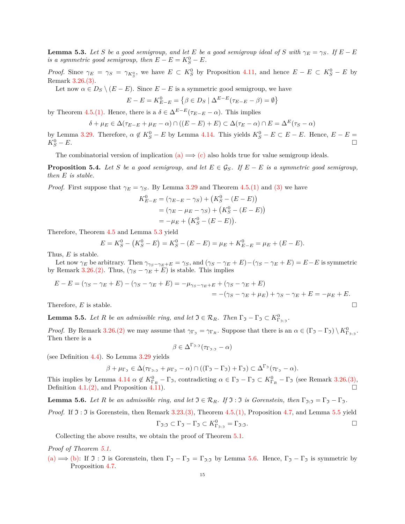<span id="page-14-0"></span>**Lemma 5.3.** *Let S be a good semigroup, and let E be a good semigroup ideal of S with*  $\gamma_E = \gamma_S$ *. If*  $E - E$ *is a symmetric good semigroup, then*  $E - E = K_S^0 - E$ .

*Proof.* Since  $\gamma_E = \gamma_S = \gamma_{K_S^0}$ , we have  $E \subset K_S^0$  by Proposition [4.11,](#page-12-1) and hence  $E - E \subset K_S^0 - E$  by Remark [3.26](#page-9-2)[.\(3\).](#page-9-3)

Let now  $\alpha \in D_S \setminus (E - E)$ . Since  $E - E$  is a symmetric good semigroup, we have

$$
E - E = K_{E-E}^0 = \{ \beta \in D_S \mid \Delta^{E-E}(\tau_{E-E} - \beta) = \emptyset \}
$$

by Theorem [4.5](#page-11-0)[.\(1\).](#page-11-7) Hence, there is a  $\delta \in \Delta^{E-E}(\tau_{E-E} - \alpha)$ . This implies

$$
\delta + \mu_E \in \Delta(\tau_{E-E} + \mu_E - \alpha) \cap ((E - E) + E) \subset \Delta(\tau_E - \alpha) \cap E = \Delta^E(\tau_S - \alpha)
$$

by Lemma [3.29.](#page-10-3) Therefore,  $\alpha \notin K_S^0 - E$  by Lemma [4.14.](#page-13-7) This yields  $K_S^0 - E \subset E - E$ . Hence,  $E - E =$  $K_S^0 - E.$  $S-S-E.$ 

The combinatorial version of implication [\(a\)](#page-13-3)  $\Rightarrow$  [\(c\)](#page-13-4) also holds true for value semigroup ideals.

<span id="page-14-3"></span>**Proposition 5.4.** *Let S be a good semigroup, and let*  $E \in \mathcal{G}_S$ . If  $E - E$  *is a symmetric good semigroup, then E is stable.*

*Proof.* First suppose that  $\gamma_E = \gamma_S$ . By Lemma [3.29](#page-10-3) and Theorem [4.5](#page-11-0)[.\(1\)](#page-11-7) and [\(3\)](#page-11-8) we have

$$
K_{E-E}^{0} = (\gamma_{E-E} - \gamma_{S}) + (K_{S}^{0} - (E - E))
$$
  
= (\gamma\_{E} - \mu\_{E} - \gamma\_{S}) + (K\_{S}^{0} - (E - E))  
= -\mu\_{E} + (K\_{S}^{0} - (E - E)).

Therefore, Theorem [4.5](#page-11-0) and Lemma [5.3](#page-14-0) yield

$$
E = K_S^0 - (K_S^0 - E) = K_S^0 - (E - E) = \mu_E + K_{E-E}^0 = \mu_E + (E - E).
$$

Thus, *E* is stable.

Let now  $\gamma_E$  be arbitrary. Then  $\gamma_{\gamma_S - \gamma_E + E} = \gamma_S$ , and  $(\gamma_S - \gamma_E + E) - (\gamma_S - \gamma_E + E) = E - E$  is symmetric by Remark [3.26](#page-9-2)[.\(2\).](#page-9-4) Thus,  $(\gamma_S - \gamma_E + E)$  is stable. This implies

$$
E - E = (\gamma_S - \gamma_E + E) - (\gamma_S - \gamma_E + E) = -\mu_{\gamma_S - \gamma_E + E} + (\gamma_S - \gamma_E + E)
$$
  
= -(\gamma\_S - \gamma\_E + \mu\_E) + \gamma\_S - \gamma\_E + E = -\mu\_E + E.

<span id="page-14-1"></span>**Lemma 5.5.** *Let R be an admissible ring, and let*  $\mathfrak{I} \in \mathcal{R}_R$ *. Then*  $\Gamma_{\mathfrak{I}} - \Gamma_{\mathfrak{I}} \subset K^0_{\Gamma_{\mathfrak{I}:\mathfrak{I}}}$ *.* 

*Proof.* By Remark [3.26](#page-9-2)[.\(2\)](#page-9-4) we may assume that  $\gamma_{\Gamma_{\mathcal{I}}} = \gamma_{\Gamma_{R}}$ . Suppose that there is an  $\alpha \in (\Gamma_{\mathcal{I}} - \Gamma_{\mathcal{I}}) \setminus K_{\Gamma_{\mathcal{I}:\mathcal{I}}}^{0}$ . Then there is a

$$
\beta \in \Delta^{\Gamma_{\mathfrak{I}:\mathfrak{I}}}(\tau_{\Gamma_{\mathfrak{I}:\mathfrak{I}}}-\alpha)
$$

(see Definition [4.4\)](#page-11-5). So Lemma [3.29](#page-10-3) yields

$$
\beta + \mu_{\Gamma_{\mathfrak{I}}} \in \Delta(\tau_{\Gamma_{\mathfrak{I}:\mathfrak{I}}} + \mu_{\Gamma_{\mathfrak{I}}} - \alpha) \cap ((\Gamma_{\mathfrak{I}} - \Gamma_{\mathfrak{I}}) + \Gamma_{\mathfrak{I}}) \subset \Delta^{\Gamma_{\mathfrak{I}}}(\tau_{\Gamma_{\mathfrak{I}}} - \alpha).
$$

This implies by Lemma  $4.14 \alpha \notin K_{\Gamma_R}^0 - \Gamma_{\mathfrak{I}}$  $4.14 \alpha \notin K_{\Gamma_R}^0 - \Gamma_{\mathfrak{I}}$ , contradicting  $\alpha \in \Gamma_{\mathfrak{I}} - \Gamma_{\mathfrak{I}} \subset K_{\Gamma_R}^0 - \Gamma_{\mathfrak{I}}$  (see Remark [3.26](#page-9-2)[.\(3\),](#page-9-3) Definition [4.1](#page-10-4)[.\(2\),](#page-10-5) and Proposition [4.11\)](#page-12-1).

<span id="page-14-2"></span>**Lemma 5.6.** *Let R be an admissible ring, and let*  $\mathfrak{I} \in \mathcal{R}_R$ *. If*  $\mathfrak{I}: \mathfrak{I}$  *is Gorenstein, then*  $\Gamma_{\mathfrak{I}: \mathfrak{I}} = \Gamma_{\mathfrak{I}} - \Gamma_{\mathfrak{I}}$ *.* 

*Proof.* If  $\mathfrak{I}: \mathfrak{I}$  is Gorenstein, then Remark [3.23](#page-8-5)[.\(3\),](#page-8-7) Theorem [4.5](#page-11-0)[.\(1\),](#page-11-7) Proposition [4.7,](#page-12-2) and Lemma [5.5](#page-14-1) yield

$$
\Gamma_{\mathfrak{I}:\mathfrak{I}} \subset \Gamma_{\mathfrak{I}} - \Gamma_{\mathfrak{I}} \subset K_{\Gamma_{\mathfrak{I}:\mathfrak{I}}}^0 = \Gamma_{\mathfrak{I}:\mathfrak{I}}.
$$

Collecting the above results, we obtain the proof of Theorem [5.1.](#page-13-0)

*Proof of Theorem [5.1.](#page-13-0)*

[\(a\)](#page-13-3)  $\implies$  [\(b\):](#page-13-5) If  $\mathfrak{I} : \mathfrak{I}$  is Gorenstein, then  $\Gamma_{\mathfrak{I}} - \Gamma_{\mathfrak{I}} = \Gamma_{\mathfrak{I}: \mathfrak{I}}$  by Lemma [5.6.](#page-14-2) Hence,  $\Gamma_{\mathfrak{I}} - \Gamma_{\mathfrak{I}}$  is symmetric by Proposition [4.7.](#page-12-2)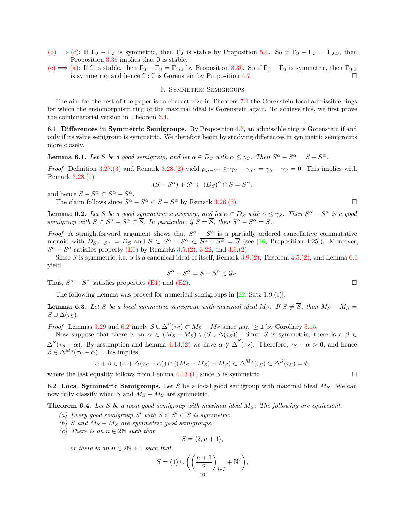- [\(b\)](#page-13-5)  $\Rightarrow$  [\(c\):](#page-13-4) If  $\Gamma_{\mathfrak{I}} \Gamma_{\mathfrak{I}}$  is symmetric, then  $\Gamma_{\mathfrak{I}}$  is stable by Proposition [5.4.](#page-14-3) So if  $\Gamma_{\mathfrak{I}} \Gamma_{\mathfrak{I}} = \Gamma_{\mathfrak{I}:\mathfrak{I}}$ , then Proposition [3.35](#page-10-6) implies that  $\mathfrak I$  is stable.
- <span id="page-15-0"></span>[\(c\)](#page-13-4)  $\Longrightarrow$  [\(a\):](#page-13-3) If J is stable, then  $\Gamma_1 - \Gamma_2 = \Gamma_{3,1}$  by Proposition [3.35.](#page-10-6) So if  $\Gamma_2 - \Gamma_2$  is symmetric, then  $\Gamma_{3,1}$ is symmetric, and hence  $\Im : \Im$  is Gorenstein by Proposition [4.7.](#page-12-2)

# 6. Symmetric Semigroups

The aim for the rest of the paper is to characterize in Theorem [7.1](#page-17-0) the Gorenstein local admissible rings for which the endomorphism ring of the maximal ideal is Gorenstein again. To achieve this, we first prove the combinatorial version in Theorem [6.4.](#page-15-1)

6.1. **Differences in Symmetric Semigroups.** By Proposition [4.7,](#page-12-2) an admissible ring is Gorenstein if and only if its value semigroup is symmetric. We therefore begin by studying differences in symmetric semigroups more closely.

<span id="page-15-2"></span>**Lemma 6.1.** Let S be a good semigroup, and let  $\alpha \in D_S$  with  $\alpha \leq \gamma_S$ . Then  $S^{\alpha} - S^{\alpha} = S - S^{\alpha}$ .

*Proof.* Definition [3.27](#page-9-5)[.\(3\)](#page-9-6) and Remark [3.28.](#page-10-7)[\(2\)](#page-10-8) yield  $\mu_{S-S^{\alpha}} \ge \gamma_S - \gamma_{S^{\alpha}} = \gamma_S - \gamma_S = 0$ . This implies with Remark [3.28](#page-10-7)[.\(1\)](#page-10-9)

$$
(S - S^{\alpha}) + S^{\alpha} \subset (D_S)^{\alpha} \cap S = S^{\alpha},
$$

and hence  $S - S^{\alpha} \subset S^{\alpha} - S^{\alpha}$ .

The claim follows since  $S^{\alpha} - S^{\alpha} \subset S - S^{\alpha}$  by Remark [3.26.](#page-9-2)[\(3\).](#page-9-3)

<span id="page-15-3"></span>**Lemma 6.2.** Let *S* be a good symmetric semigroup, and let  $\alpha \in D_S$  with  $\alpha \leq \gamma_S$ . Then  $S^{\alpha} - S^{\alpha}$  is a good *semigroup with*  $S \subset S^{\alpha} - S^{\alpha} \subset \overline{S}$ *. In particular, if*  $S = \overline{S}$ *, then*  $S^{\alpha} - S^{\alpha} = S$ *.* 

*Proof.* A straightforward argument shows that  $S^{\alpha} - S^{\alpha}$  is a partially ordered cancellative commutative monoid with  $D_{S^{\alpha}-S^{\alpha}} = D_S$  and  $S \subset S^{\alpha} - S^{\alpha} \subset \overline{S^{\alpha}-S^{\alpha}} = \overline{S}$  (see [\[16,](#page-19-15) Proposition 4.25]). Moreover,  $S^{\alpha} - S^{\alpha}$  satisfies property [\(E0\)](#page-5-5) by Remarks [3.5](#page-6-6)[.\(2\),](#page-6-8) [3.22,](#page-8-8) and [3.9.](#page-6-0)[\(2\).](#page-6-1)

Since *S* is symmetric, i.e. *S* is a canonical ideal of itself, Remark [3.9](#page-6-0)[.\(2\),](#page-6-1) Theorem [4.5.](#page-11-0)[\(2\),](#page-11-9) and Lemma [6.1](#page-15-2) yield

$$
S^{\alpha} - S^{\alpha} = S - S^{\alpha} \in \mathcal{G}_S.
$$

Thus,  $S^{\alpha} - S^{\alpha}$  satisfies properties [\(E1\)](#page-5-3) and [\(E2\).](#page-5-4)

The following Lemma was proved for numerical semigroups in [\[22,](#page-20-4) Satz 1.9.(e)].

<span id="page-15-6"></span>**Lemma 6.3.** Let *S* be a local symmetric semigroup with maximal ideal  $M_S$ . If  $S \neq \overline{S}$ , then  $M_S - M_S =$  $S \cup \Delta(\tau_S)$ .

*Proof.* Lemmas [3.29](#page-10-3) and [6.2](#page-15-3) imply  $S \cup \Delta^S(\tau_S) \subset M_S - M_S$  since  $\mu_{M_S} \geq 1$  by Corollary [3.15.](#page-7-0)

Now suppose that there is an  $\alpha \in (M_S - M_S) \setminus (S \cup \Delta(\tau_S))$ . Since *S* is symmetric, there is a  $\beta \in$  $\Delta^{S}(\tau_{S}-\alpha)$ . By assumption and Lemma [4.13.](#page-12-3)[\(2\)](#page-12-4) we have  $\alpha \notin \overline{\Delta}^{S}(\tau_{S})$ . Therefore,  $\tau_{S}-\alpha > 0$ , and hence  $\beta \in \Delta^{M_S}(\tau_S - \alpha)$ . This implies

$$
\alpha + \beta \in (\alpha + \Delta(\tau_S - \alpha)) \cap ((M_S - M_S) + M_S) \subset \Delta^{M_S}(\tau_S) \subset \Delta^S(\tau_S) = \emptyset,
$$

where the last equality follows from Lemma  $4.13(1)$  $4.13(1)$  since *S* is symmetric.

6.2. **Local Symmetric Semigroups.** Let *S* be a local good semigroup with maximal ideal *MS*. We can now fully classify when *S* and  $M_S - M_S$  are symmetric.

<span id="page-15-7"></span><span id="page-15-4"></span><span id="page-15-1"></span>**Theorem 6.4.** *Let S be a local good semigroup with maximal ideal MS. The following are equivalent.*

- *(a)* Every good semigroup  $S'$  with  $S \subset S' \subset \overline{S}$  is symmetric.
- <span id="page-15-5"></span>*(b) S* and  $M_S - M_S$  are symmetric good semigroups.
- *(c)* There is an  $n \in 2N$  *such that*

$$
S = \langle 2, n+1 \rangle,
$$

*or there is an*  $n \in 2\mathbb{N} + 1$  *such that* 

$$
S = \langle \mathbf{1} \rangle \cup \left( \left( \frac{n+1}{2} \right)_{i \in I} + \mathbb{N}^I \right),
$$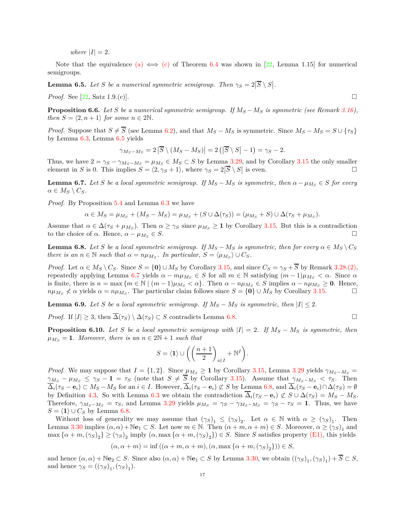*where*  $|I| = 2$ *.* 

Note that the equivalence [\(a\)](#page-15-4)  $\iff$  [\(c\)](#page-15-5) of Theorem [6.4](#page-15-1) was shown in [\[22,](#page-20-4) Lemma 1.15] for numerical semigroups.

<span id="page-16-0"></span>**Lemma 6.5.** Let *S* be a numerical symmetric semigroup. Then  $\gamma_S = 2|\overline{S} \setminus S|$ .

*Proof.* See [\[22,](#page-20-4) Satz 1.9.(c)].

<span id="page-16-4"></span>**Proposition 6.6.** *Let S be a numerical symmetric semigroup. If*  $M_S - M_S$  *is symmetric (see Remark [3.16\)](#page-7-6), then*  $S = \langle 2, n+1 \rangle$  *for some*  $n \in 2\mathbb{N}$ *.* 

*Proof.* Suppose that  $S \neq \overline{S}$  (see Lemma [6.2\)](#page-15-3), and that  $M_S - M_S$  is symmetric. Since  $M_S - M_S = S \cup \{\tau_S\}$ by Lemma [6.3,](#page-15-6) Lemma [6.5](#page-16-0) yields

$$
\gamma_{M_S - M_S} = 2 |\overline{S} \setminus (M_S - M_S)| = 2 (|\overline{S} \setminus S| - 1) = \gamma_S - 2.
$$

Thus, we have  $2 = \gamma_S - \gamma_{M_S - M_S} = \mu_{M_S} \in M_S \subset S$  by Lemma [3.29,](#page-10-3) and by Corollary [3.15](#page-7-0) the only smaller element in *S* is 0. This implies  $S = \langle 2, \gamma_S + 1 \rangle$ , where  $\gamma_S = 2|\overline{S} \setminus S|$  is even.

<span id="page-16-1"></span>**Lemma 6.7.** *Let S be a local symmetric semigroup. If*  $M_S - M_S$  *is symmetric, then*  $\alpha - \mu_{M_S} \in S$  *for every*  $\alpha \in M_S \setminus C_S$ *.* 

*Proof.* By Proposition [5.4](#page-14-3) and Lemma [6.3](#page-15-6) we have

$$
\alpha \in M_S = \mu_{M_S} + (M_S - M_S) = \mu_{M_S} + (S \cup \Delta(\tau_S)) = (\mu_{M_S} + S) \cup \Delta(\tau_S + \mu_{M_S}).
$$

Assume that  $\alpha \in \Delta(\tau_S + \mu_{M_S})$ . Then  $\alpha \geq \gamma_S$  since  $\mu_{M_S} \geq 1$  by Corollary [3.15.](#page-7-0) But this is a contradiction to the choice of  $\alpha$ . Hence,  $\alpha - \mu_{M_S} \in S$ .

<span id="page-16-2"></span>**Lemma 6.8.** Let *S* be a local symmetric semigroup. If  $M_S - M_S$  is symmetric, then for every  $\alpha \in M_S \setminus C_S$ *there is an*  $n \in \mathbb{N}$  *such that*  $\alpha = n\mu_{M_S}$ . In particular,  $S = \langle \mu_{M_S} \rangle \cup C_S$ .

*Proof.* Let  $\alpha \in M_S \setminus C_S$ . Since  $S = \{0\} \cup M_S$  by Corollary [3.15,](#page-7-0) and since  $C_S = \gamma_S + \overline{S}$  by Remark [3.28](#page-10-7)[.\(2\),](#page-10-8) repeatedly applying Lemma [6.7](#page-16-1) yields *α* − *mµ<sup>M</sup><sup>S</sup>* ∈ *S* for all *m* ∈ N satisfying (*m* − 1)*µ<sup>M</sup><sup>S</sup> < α*. Since *α* is finite, there is  $n = \max\{m \in \mathbb{N} \mid (m-1)\mu_{M_S} < \alpha\}$ . Then  $\alpha - n\mu_{M_S} \in S$  implies  $\alpha - n\mu_{M_S} \geq 0$ . Hence,  $n\mu_{M_S} \nless \alpha$  yields  $\alpha = n\mu_{M_S}$ . The particular claim follows since  $S = \{0\} \cup M_S$  by Corollary [3.15.](#page-7-0)

<span id="page-16-3"></span>**Lemma 6.9.** *Let S be a local symmetric semigroup. If*  $M_S - M_S$  *is symmetric, then*  $|I| \leq 2$ *.* 

*Proof.* If  $|I| \geq 3$ , then  $\overline{\Delta}(\tau_S) \setminus \Delta(\tau_S) \subset S$  contradicts Lemma [6.8.](#page-16-2)

<span id="page-16-5"></span>**Proposition 6.10.** *Let S be a local symmetric semigroup with*  $|I| = 2$ *. If*  $M_S - M_S$  *is symmetric, then*  $\mu_{M_S} = 1$ *. Moreover, there is an*  $n \in 2N + 1$  *such that* 

$$
S = \langle \mathbf{1} \rangle \cup \left( \left( \frac{n+1}{2} \right)_{i \in I} + \mathbb{N}^I \right).
$$

*Proof.* We may suppose that  $I = \{1, 2\}$ . Since  $\mu_{M_S} \geq 1$  by Corollary [3.15,](#page-7-0) Lemma [3.29](#page-10-3) yields  $\gamma_{M_S - M_S} =$  $\gamma_{M_S} - \mu_{M_S} \leq \gamma_S - 1 = \tau_S$  (note that  $S \neq \overline{S}$  by Corollary [3.15\)](#page-7-0). Assume that  $\gamma_{M_S - M_S} < \tau_S$ . Then  $\overline{\Delta}_i(\tau_S - \mathbf{e}_i) \subset M_S - M_S$  for an  $i \in I$ . However,  $\overline{\Delta}_i(\tau_S - \mathbf{e}_i) \not\subset S$  by Lemma [6.8,](#page-16-2) and  $\overline{\Delta}_i(\tau_S - \mathbf{e}_i) \cap \Delta(\tau_S) = \emptyset$ by Definition [4.3.](#page-11-6) So with Lemma [6.3](#page-15-6) we obtain the contradiction  $\Delta_i(\tau_S - \mathbf{e}_i) \not\subset S \cup \Delta(\tau_S) = M_S - M_S$ . Therefore,  $\gamma_{M_S-M_S} = \tau_S$ , and Lemma [3.29](#page-10-3) yields  $\mu_{M_S} = \gamma_S - \gamma_{M_S-M_S} = \gamma_S - \tau_S = 1$ . Thus, we have *S* =  $\langle 1 \rangle$  ∪ *C<sub>S</sub>* by Lemma [6.8.](#page-16-2)

Without loss of generality we may assume that  $(\gamma_S)_1 \leq (\gamma_S)_2$ . Let  $\alpha \in \mathbb{N}$  with  $\alpha \geq (\gamma_S)_1$ . Then Lemma [3.30](#page-10-10) implies  $(\alpha, \alpha) + \mathbb{N}\mathbf{e}_1 \subset S$ . Let now  $m \in \mathbb{N}$ . Then  $(\alpha + m, \alpha + m) \in S$ . Moreover,  $\alpha \geq (\gamma_S)_1$  and  $\max \{\alpha + m, (\gamma_S)_2\} \ge (\gamma_S)_2$  imply  $(\alpha, \max \{\alpha + m, (\gamma_S)_2\}) \in S$ . Since *S* satisfies property [\(E1\),](#page-5-3) this yields

$$
(\alpha, \alpha + m) = \inf ((\alpha + m, \alpha + m), (\alpha, \max{\alpha + m, (\gamma_S)_2})) \in S,
$$

and hence  $(\alpha, \alpha) + \mathbb{N}$ **e**<sub>2</sub>  $\subset$  *S*. Since also  $(\alpha, \alpha) + \mathbb{N}$ **e**<sub>1</sub>  $\subset$  *S* by Lemma [3.30,](#page-10-10) we obtain  $((\gamma_S)_1, (\gamma_S)_1) + S \subset S$ , and hence  $\gamma_S = ((\gamma_S)_1, (\gamma_S)_1)$ .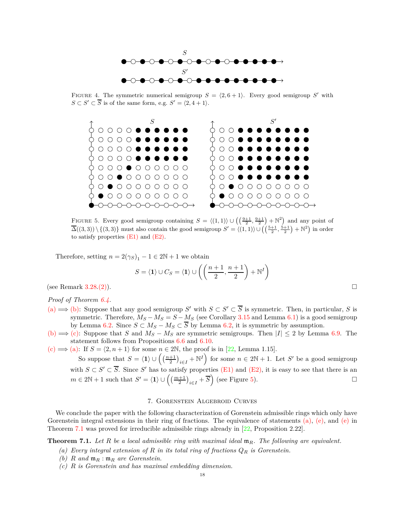

<span id="page-17-2"></span>FIGURE 4. The symmetric numerical semigroup  $S = \langle 2, 6 + 1 \rangle$ . Every good semigroup S' with  $S \subset S' \subset \overline{S}$  is of the same form, e.g.  $S' = \langle 2, 4 + 1 \rangle$ .



FIGURE 5. Every good semigroup containing  $S = \langle (1,1) \rangle \cup \left( \left( \frac{9+1}{2}, \frac{9+1}{2} \right) + \mathbb{N}^2 \right)$  and any point of  $\overline{\Delta}((3,3)) \setminus \{(3,3)\}\)$  must also contain the good semigroup  $S' = \langle (1,1) \rangle \cup \left( \left(\frac{5+1}{2}, \frac{5+1}{2}\right) + \mathbb{N}^2 \right)$  in order to satisfy properties  $(E1)$  and  $(E2)$ .

Therefore, setting  $n = 2(\gamma_S)_1 - 1 \in 2\mathbb{N} + 1$  we obtain

$$
S = \langle \mathbf{1} \rangle \cup C_S = \langle \mathbf{1} \rangle \cup \left( \left( \frac{n+1}{2}, \frac{n+1}{2} \right) + \mathbb{N}^I \right)
$$

(see Remark [3.28](#page-10-7)[.\(2\)\)](#page-10-8).

*Proof of Theorem [6.4.](#page-15-1)*

- [\(a\)](#page-15-4)  $\Rightarrow$  [\(b\):](#page-15-7) Suppose that any good semigroup *S'* with *S* ⊂ *S'* ⊂  $\overline{S}$  is symmetric. Then, in particular, *S* is symmetric. Therefore,  $M_S - M_S = S - M_S$  (see Corollary [3.15](#page-7-0) and Lemma [6.1\)](#page-15-2) is a good semigroup by Lemma [6.2.](#page-15-3) Since  $S \subset M_S - M_S \subset \overline{S}$  by Lemma [6.2,](#page-15-3) it is symmetric by assumption.
- [\(b\)](#page-15-7)  $\implies$  [\(c\):](#page-15-5) Suppose that *S* and  $M_S M_S$  are symmetric semigroups. Then  $|I| \leq 2$  by Lemma [6.9.](#page-16-3) The statement follows from Propositions [6.6](#page-16-4) and [6.10.](#page-16-5)
- [\(c\)](#page-15-5)  $\Longrightarrow$  [\(a\):](#page-15-4) If  $S = \langle 2, n+1 \rangle$  for some  $n \in 2\mathbb{N}$ , the proof is in [\[22,](#page-20-4) Lemma 1.15].

So suppose that  $S = \langle 1 \rangle \cup \left( \left( \frac{n+1}{2} \right)_{i \in I} + \mathbb{N}^I \right)$  for some  $n \in 2\mathbb{N} + 1$ . Let *S'* be a good semigroup with  $S \subset S' \subset \overline{S}$ . Since  $S'$  has to satisfy properties [\(E1\)](#page-5-3) and [\(E2\),](#page-5-4) it is easy to see that there is an  $m \in 2\mathbb{N} + 1$  such that  $S' = \langle 1 \rangle \cup \left( \left( \frac{m+1}{2} \right)_{i \in I} + \overline{S} \right)$  (see Figure [5\)](#page-17-2).

# 7. Gorenstein Algebroid Curves

<span id="page-17-1"></span>We conclude the paper with the following characterization of Gorenstein admissible rings which only have Gorenstein integral extensions in their ring of fractions. The equivalence of statements [\(a\),](#page-17-3) [\(e\),](#page-18-0) and [\(e\)](#page-18-0) in Theorem [7.1](#page-17-0) was proved for irreducible admissible rings already in [\[22,](#page-20-4) Proposition 2.22].

<span id="page-17-4"></span><span id="page-17-3"></span><span id="page-17-0"></span>**Theorem 7.1.** *Let R be a local admissible ring with maximal ideal* m*R. The following are equivalent.*

- *(a) Every integral extension of R in its total ring of fractions Q<sup>R</sup> is Gorenstein.*
- <span id="page-17-5"></span>*(b) R and* m*<sup>R</sup>* : m*<sup>R</sup> are Gorenstein.*
- *(c) R is Gorenstein and has maximal embedding dimension.*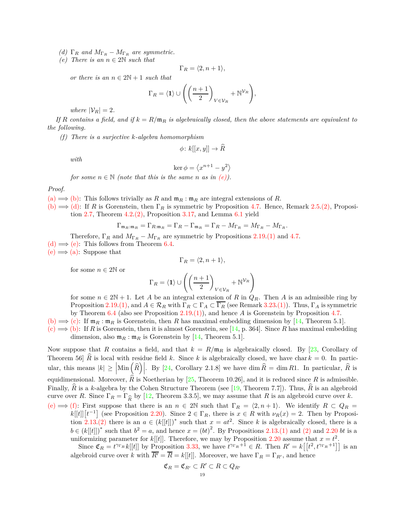<span id="page-18-1"></span><span id="page-18-0"></span>*(d)*  $\Gamma_R$  *and*  $M_{\Gamma_R} - M_{\Gamma_R}$  *are symmetric.* 

 $(e)$  *There is an*  $n \in 2\mathbb{N}$  *such that* 

$$
\Gamma_R = \langle 2, n+1 \rangle,
$$

*or there is an*  $n \in 2\mathbb{N} + 1$  *such that* 

$$
\Gamma_R = \langle \mathbf{1} \rangle \cup \left( \left( \frac{n+1}{2} \right)_{V \in \mathcal{V}_R} + \mathbb{N}^{\mathcal{V}_R} \right),\
$$

*where*  $|\mathcal{V}_R| = 2$ *.* 

<span id="page-18-2"></span>*If R contains a field, and if*  $k = R/\mathfrak{m}_R$  *is algebraically closed, then the above statements are equivalent to the following.*

*(f) There is a surjective k-algebra homomorphism*

 $\phi: k[[x, y]] \to \widehat{R}$ 

*with*

$$
\ker\phi=\left\langle x^{n+1}-y^2\right\rangle
$$

*for some*  $n \in \mathbb{N}$  *(note that this is the same n as in [\(e\)\)](#page-18-0).* 

*Proof.*

- $(a) \Longrightarrow (b)$  $(a) \Longrightarrow (b)$ : This follows trivially as R and  $\mathfrak{m}_R$  :  $\mathfrak{m}_R$  are integral extensions of R.
- [\(b\)](#page-17-4)  $\Longrightarrow$  [\(d\):](#page-18-1) If *R* is Gorenstein, then  $\Gamma_R$  is symmetric by Proposition [4.7.](#page-12-2) Hence, Remark [2.5](#page-2-6)[.\(2\),](#page-2-11) Proposi-tion [2.7,](#page-2-5) Theorem  $4.2.(2)$  $4.2.(2)$ , Proposition [3.17,](#page-7-7) and Lemma  $6.1$  yield

$$
\Gamma_{\mathfrak{m}_R:\mathfrak{m}_R} = \Gamma_{R:\mathfrak{m}_R} = \Gamma_R - \Gamma_{\mathfrak{m}_R} = \Gamma_R - M_{\Gamma_R} = M_{\Gamma_R} - M_{\Gamma_R}.
$$

Therefore,  $\Gamma_R$  and  $M_{\Gamma_R} - M_{\Gamma_R}$  are symmetric by Propositions [2.19.](#page-4-2)[\(1\)](#page-4-3) and [4.7.](#page-12-2)  $(d) \Longrightarrow (e)$  $(d) \Longrightarrow (e)$ : This follows from Theorem [6.4.](#page-15-1)  $(e) \Longrightarrow (a)$  $(e) \Longrightarrow (a)$ : Suppose that

$$
\Gamma_R = \langle 2, n+1 \rangle,
$$

for some  $n \in 2\mathbb{N}$  or

$$
\Gamma_R = \langle \mathbf{1} \rangle \cup \left( \left( \frac{n+1}{2} \right)_{V \in \mathcal{V}_R} + \mathbb{N}^{\mathcal{V}_R} \right)
$$

for some  $n \in 2\mathbb{N} + 1$ . Let *A* be an integral extension of *R* in  $Q_R$ . Then *A* is an admissible ring by Proposition [2.19](#page-4-2)[.\(1\),](#page-4-3) and  $A \in \mathcal{R}_R$  with  $\Gamma_R \subset \Gamma_A \subset \Gamma_R$  (see Remark [3.23](#page-8-5)[.\(1\)\)](#page-8-9). Thus,  $\Gamma_A$  is symmetric by Theorem [6.4](#page-15-1) (also see Proposition [2.19.](#page-4-2)[\(1\)\)](#page-4-3), and hence *A* is Gorenstein by Proposition [4.7.](#page-12-2)

[\(b\)](#page-17-4)  $\implies$  [\(c\):](#page-17-5) If  $\mathfrak{m}_R$ :  $\mathfrak{m}_R$  is Gorenstein, then R has maximal embedding dimension by [\[14,](#page-19-13) Theorem 5.1].

 $(c) \implies$  $(c) \implies$  [\(b\):](#page-17-4) If *R* is Gorenstein, then it is almost Gorenstein, see [\[14,](#page-19-13) p. 364]. Since *R* has maximal embedding dimension, also  $\mathfrak{m}_R : \mathfrak{m}_R$  is Gorenstein by [\[14,](#page-19-13) Theorem 5.1].

Now suppose that *R* contains a field, and that  $k = R/\mathfrak{m}_R$  is algebraically closed. By [\[23,](#page-20-5) Corollary of Theorem 56]  $\hat{R}$  is local with residue field *k*. Since *k* is algebraically closed, we have char  $k = 0$ . In particular, this means  $|k| \ge |\text{Min}(\widehat{R})|$ . By [\[24,](#page-20-6) Corollary 2.1.8] we have dim  $\widehat{R} = \dim R$ 1. In particular,  $\widehat{R}$  is equidimensional. Moreover, *R* is Noetherian by [\[25,](#page-20-7) Theorem 10.26], and it is reduced since *R* is admissible. Finally,  $\hat{R}$  is a *k*-algebra by the Cohen Structure Theorem (see [\[19,](#page-20-1) Theorem 7.7]). Thus,  $\hat{R}$  is an algebroid curve over *R*. Since  $\Gamma_R = \Gamma_{\widehat{R}}$  by [\[12,](#page-19-11) Theorem 3.3.5], we may assume that *R* is an algebroid curve over *k*. [\(e\)](#page-18-0)  $\implies$  [\(f\):](#page-18-2) First suppose that there is an  $n \in 2\mathbb{N}$  such that  $\Gamma_R = \langle 2, n+1 \rangle$ . We identify  $R \subset Q_R =$  $k[[t]] [t^{-1}]$  (see Proposition [2.20\)](#page-4-4). Since  $2 \in \Gamma_R$ , there is  $x \in R$  with  $\nu_R(x) = 2$ . Then by Proposition  $2.13(2)$  $2.13(2)$  there is an  $a \in (k[[t]])^*$  such that  $x = at^2$ . Since k is algebraically closed, there is a  $b \in (k[[t]])^*$  such that  $b^2 = a$ , and hence  $x = (bt)^2$ . By Propositions [2.13.](#page-3-1)[\(1\)](#page-3-4) and [\(2\)](#page-3-3) and [2.20](#page-4-4) *bt* is a uniformizing parameter for  $k[[t]]$ . Therefore, we may by Proposition [2.20](#page-4-4) assume that  $x = t^2$ .

Since  $\mathfrak{C}_R = t^{\gamma_{\Gamma_R}} k[[t]]$  by Proposition [3.33,](#page-10-11) we have  $t^{\gamma_{\Gamma_R}+1} \in R$ . Then  $R' = k[[t^2, t^{\gamma_{\Gamma_R}+1}]]$  is an

algebroid curve over *k* with  $\overline{R'} = \overline{R} = k[[t]]$ . Moreover, we have  $\Gamma_R = \Gamma_{R'}$ , and hence

$$
\mathfrak{C}_R = \mathfrak{C}_{R'} \subset R' \subset R \subset Q_{R'}
$$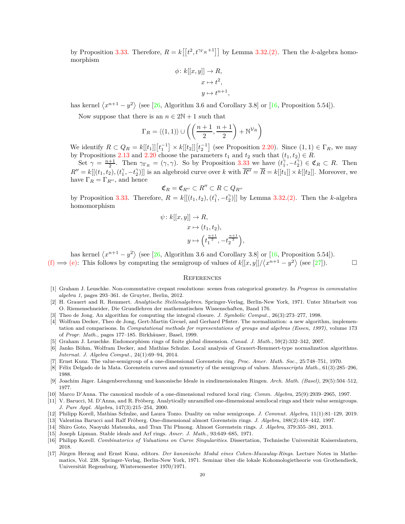by Proposition [3.33.](#page-10-11) Therefore,  $R = k[[t^2, t^{\gamma_{\Gamma_R}+1}]]$  by Lemma [3.32.](#page-10-12)[\(2\).](#page-10-13) Then the *k*-algebra homomorphism

*,*

$$
\phi: k[[x, y]] \to R,
$$

$$
x \mapsto t^2,
$$

$$
y \mapsto t^{n+1}
$$

has kernel  $\langle x^{n+1} - y^2 \rangle$  (see [\[26,](#page-20-8) Algorithm 3.6 and Corollary 3.8] or [\[16,](#page-19-15) Proposition 5.54]).

Now suppose that there is an  $n \in 2N + 1$  such that

$$
\Gamma_R = \langle (1,1) \rangle \cup \left( \left( \frac{n+1}{2}, \frac{n+1}{2} \right) + \mathbb{N}^{\mathcal{V}_R} \right)
$$

We identify  $R \subset Q_R = k[[t_1]][t_1^{-1}] \times k[[t_2]][t_2^{-1}]$  (see Proposition [2.20\)](#page-4-4). Since  $(1,1) \in \Gamma_R$ , we may by Propositions [2.13](#page-3-1) and [2.20](#page-4-4) choose the parameters  $t_1$  and  $t_2$  such that  $(t_1, t_2) \in R$ .

Set  $\gamma = \frac{n+1}{2}$ . Then  $\gamma_{\Gamma_R} = (\gamma, \gamma)$ . So by Proposition [3.33](#page-10-11) we have  $(t_1^{\gamma}, -t_2^{\gamma}) \in \mathfrak{C}_R \subset R$ . Then  $R'' = k[[(t_1, t_2), (t_1'', -t_2'')]]$  is an algebroid curve over k with  $\overline{R''} = \overline{R} = k[[t_1]] \times k[[t_2]]$ . Moreover, we have  $\Gamma_R = \Gamma_{R''}$ , and hence

$$
\mathfrak{C}_R=\mathfrak{C}_{R''}\subset R''\subset R\subset Q_{R''}
$$

by Proposition [3.33.](#page-10-11) Therefore,  $R = k[[(t_1, t_2), (t_1^{\gamma}, -t_2^{\gamma})]]$  by Lemma [3.32](#page-10-12)[.\(2\).](#page-10-13) Then the *k*-algebra homomorphism

$$
\psi: k[[x, y]] \to R,
$$
  
\n
$$
x \mapsto (t_1, t_2),
$$
  
\n
$$
y \mapsto \left(t_1^{\frac{n+1}{2}}, -t_2^{\frac{n+1}{2}}\right),
$$

has kernel  $\langle x^{n+1} - y^2 \rangle$  (see [\[26,](#page-20-8) Algorithm 3.6 and Corollary 3.8] or [\[16,](#page-19-15) Proposition 5.54]).

[\(f\)](#page-18-2)  $\implies$  [\(e\):](#page-18-0) This follows by computing the semigroup of values of  $k[[x,y]]/\langle x^{n+1} - y^2 \rangle$  (see [\[27\]](#page-20-9)).

### **REFERENCES**

- <span id="page-19-0"></span>[1] Graham J. Leuschke. Non-commutative crepant resolutions: scenes from categorical geometry. In *Progress in commutative algebra 1*, pages 293–361. de Gruyter, Berlin, 2012.
- <span id="page-19-1"></span>[2] H. Grauert and R. Remmert. *Analytische Stellenalgebren*. Springer-Verlag, Berlin-New York, 1971. Unter Mitarbeit von O. Riemenschneider, Die Grundlehren der mathematischen Wissenschaften, Band 176.
- <span id="page-19-3"></span><span id="page-19-2"></span>[3] Theo de Jong. An algorithm for computing the integral closure. *J. Symbolic Comput.*, 26(3):273–277, 1998.
- [4] Wolfram Decker, Theo de Jong, Gert-Martin Greuel, and Gerhard Pfister. The normalization: a new algorithm, implementation and comparisons. In *Computational methods for representations of groups and algebras (Essen, 1997)*, volume 173 of *Progr. Math.*, pages 177–185. Birkhäuser, Basel, 1999.
- <span id="page-19-5"></span><span id="page-19-4"></span>[5] Graham J. Leuschke. Endomorphism rings of finite global dimension. *Canad. J. Math.*, 59(2):332–342, 2007.
- [6] Janko Böhm, Wolfram Decker, and Mathias Schulze. Local analysis of Grauert-Remmert-type normalization algorithms. *Internat. J. Algebra Comput.*, 24(1):69–94, 2014.
- <span id="page-19-7"></span><span id="page-19-6"></span>[7] Ernst Kunz. The value-semigroup of a one-dimensional Gorenstein ring. *Proc. Amer. Math. Soc.*, 25:748–751, 1970.
- <span id="page-19-8"></span>[8] Félix Delgado de la Mata. Gorenstein curves and symmetry of the semigroup of values. *Manuscripta Math.*, 61(3):285–296, 1988.
- <span id="page-19-9"></span>[9] Joachim Jäger. Längenberechnung und kanonische Ideale in eindimensionalen Ringen. *Arch. Math. (Basel)*, 29(5):504–512, 1977.
- <span id="page-19-10"></span>[10] Marco D'Anna. The canonical module of a one-dimensional reduced local ring. *Comm. Algebra*, 25(9):2939–2965, 1997.
- [11] V. Barucci, M. D'Anna, and R. Fröberg. Analytically unramified one-dimensional semilocal rings and their value semigroups. *J. Pure Appl. Algebra*, 147(3):215–254, 2000.
- <span id="page-19-12"></span><span id="page-19-11"></span>[12] Philipp Korell, Mathias Schulze, and Laura Tozzo. Duality on value semigroups. *J. Commut. Algebra*, 11(1):81–129, 2019.
- <span id="page-19-13"></span>[13] Valentina Barucci and Ralf Fröberg. One-dimensional almost Gorenstein rings. *J. Algebra*, 188(2):418–442, 1997.
- <span id="page-19-14"></span>[14] Shiro Goto, Naoyuki Matsuoka, and Tran Thi Phuong. Almost Gorenstein rings. *J. Algebra*, 379:355–381, 2013.
- <span id="page-19-15"></span>[15] Joseph Lipman. Stable ideals and Arf rings. *Amer. J. Math.*, 93:649–685, 1971.
- [16] Philipp Korell. *Combinatorics of Valuations on Curve Singularities*. Dissertation, Technische Universität Kaiserslautern, 2018.
- <span id="page-19-16"></span>[17] Jürgen Herzog and Ernst Kunz, editors. *Der kanonische Modul eines Cohen-Macaulay-Rings*. Lecture Notes in Mathematics, Vol. 238. Springer-Verlag, Berlin-New York, 1971. Seminar über die lokale Kohomologietheorie von Grothendieck, Universität Regensburg, Wintersemester 1970/1971.